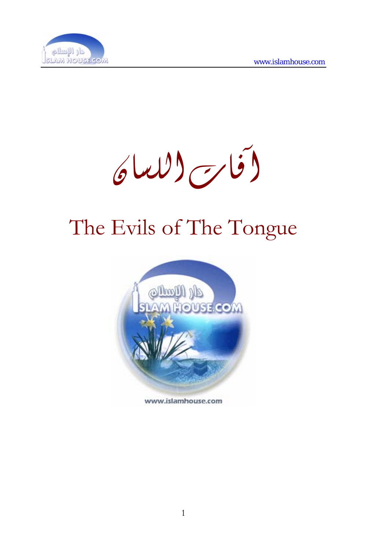

آفاتاللسان

# The Evils of The Tongue



www.islamhouse.com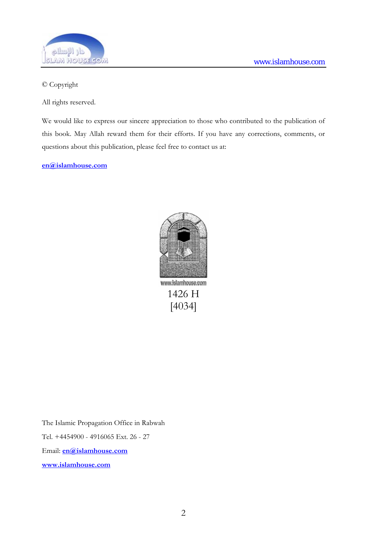© Copyright

All rights reserved.

We would like to express our sincere appreciation to those who contributed to the publication of this book. May Allah reward them for their efforts. If you have any corrections, comments, or questions about this publication, please feel free to contact us at:

**[en@islamhouse.com](mailto:en@islamhouse.com?subject=Comments%20about%20book%20%22en4034%22)**



The Islamic Propagation Office in Rabwah

Tel. +4454900 - 4916065 Ext. 26 - 27

Email: **[en@islamhouse.com](mailto:en@islamhouse.com?subject=Comments%20about%20book%20%22en4034%22)**

**www.islamhouse.com**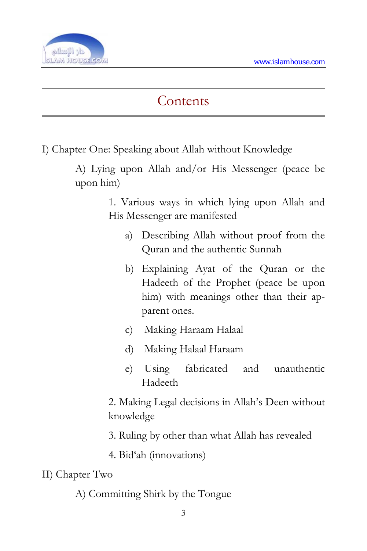

# **Contents**

I) Chapter One: Speaking about Allah without Knowledge

A) Lying upon Allah and/or His Messenger (peace be upon him)

> 1. Various ways in which lying upon Allah and His Messenger are manifested

- a) Describing Allah without proof from the Quran and the authentic Sunnah
- b) Explaining Ayat of the Quran or the Hadeeth of the Prophet (peace be upon him) with meanings other than their apparent ones.
- c) Making Haraam Halaal
- d) Making Halaal Haraam
- e) Using fabricated and unauthentic Hadeeth

2. Making Legal decisions in Allah's Deen without knowledge

- 3. Ruling by other than what Allah has revealed
- 4. Bid'ah (innovations)

II) Chapter Two

A) Committing Shirk by the Tongue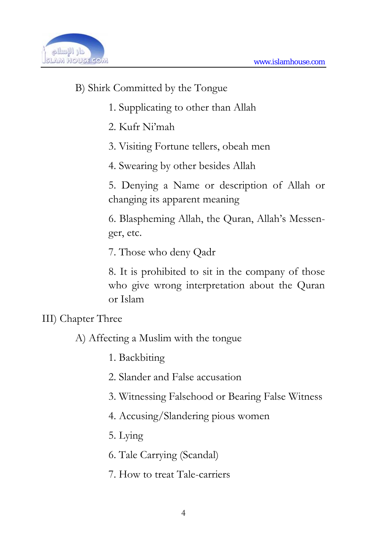

#### B) Shirk Committed by the Tongue

- 1. Supplicating to other than Allah
- 2. Kufr Ni'mah
- 3. Visiting Fortune tellers, obeah men
- 4. Swearing by other besides Allah
- 5. Denying a Name or description of Allah or changing its apparent meaning
- 6. Blaspheming Allah, the Quran, Allah's Messenger, etc.
- 7. Those who deny Qadr
- 8. It is prohibited to sit in the company of those who give wrong interpretation about the Quran or Islam

#### III) Chapter Three

- A) Affecting a Muslim with the tongue
	- 1. Backbiting
	- 2. Slander and False accusation
	- 3. Witnessing Falsehood or Bearing False Witness
	- 4. Accusing/Slandering pious women
	- 5. Lying
	- 6. Tale Carrying (Scandal)
	- 7. How to treat Tale-carriers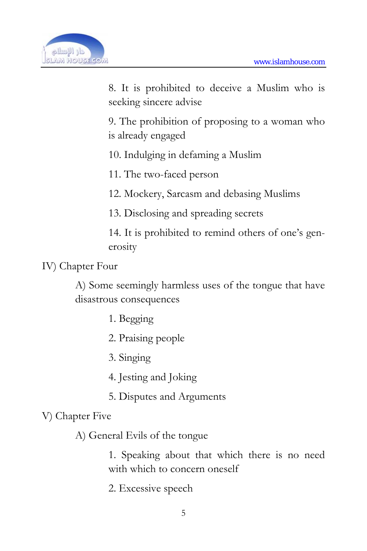

8. It is prohibited to deceive a Muslim who is seeking sincere advise

9. The prohibition of proposing to a woman who is already engaged

10. Indulging in defaming a Muslim

11. The two-faced person

12. Mockery, Sarcasm and debasing Muslims

13. Disclosing and spreading secrets

14. It is prohibited to remind others of one's generosity

IV) Chapter Four

A) Some seemingly harmless uses of the tongue that have disastrous consequences

- 1. Begging
- 2. Praising people
- 3. Singing
- 4. Jesting and Joking
- 5. Disputes and Arguments

V) Chapter Five

A) General Evils of the tongue

1. Speaking about that which there is no need with which to concern oneself

2. Excessive speech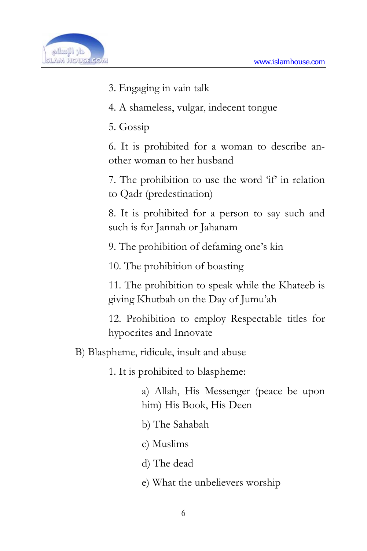

- 3. Engaging in vain talk
- 4. A shameless, vulgar, indecent tongue
- 5. Gossip

6. It is prohibited for a woman to describe another woman to her husband

7. The prohibition to use the word 'if' in relation to Qadr (predestination)

8. It is prohibited for a person to say such and such is for Jannah or Jahanam

9. The prohibition of defaming one's kin

10. The prohibition of boasting

11. The prohibition to speak while the Khateeb is giving Khutbah on the Day of Jumu'ah

12. Prohibition to employ Respectable titles for hypocrites and Innovate

B) Blaspheme, ridicule, insult and abuse

1. It is prohibited to blaspheme:

a) Allah, His Messenger (peace be upon him) His Book, His Deen

- b) The Sahabah
- c) Muslims
- d) The dead
- e) What the unbelievers worship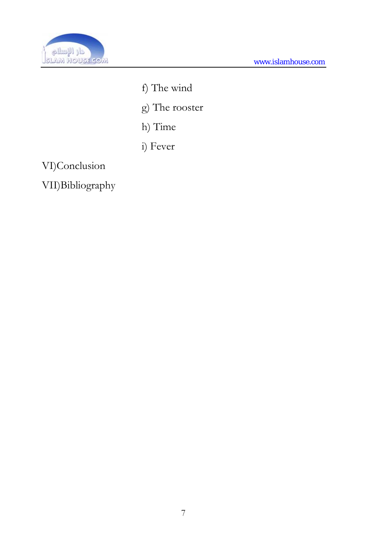

- f) The wind
- g) The rooster
- h) Time
- i) Fever

VI)Conclusion

VII)Bibliography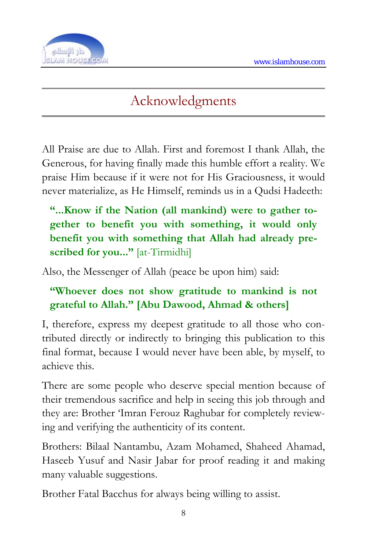

# Acknowledgments

All Praise are due to Allah. First and foremost I thank Allah, the Generous, for having finally made this humble effort a reality. We praise Him because if it were not for His Graciousness, it would never materialize, as He Himself, reminds us in a Qudsi Hadeeth:

**"...Know if the Nation (all mankind) were to gather together to benefit you with something, it would only benefit you with something that Allah had already prescribed for you..."** [at-Tirmidhi]

Also, the Messenger of Allah (peace be upon him) said:

## **"Whoever does not show gratitude to mankind is not grateful to Allah." [Abu Dawood, Ahmad & others]**

I, therefore, express my deepest gratitude to all those who contributed directly or indirectly to bringing this publication to this final format, because I would never have been able, by myself, to achieve this.

There are some people who deserve special mention because of their tremendous sacrifice and help in seeing this job through and they are: Brother 'Imran Ferouz Raghubar for completely reviewing and verifying the authenticity of its content.

Brothers: Bilaal Nantambu, Azam Mohamed, Shaheed Ahamad, Haseeb Yusuf and Nasir Jabar for proof reading it and making many valuable suggestions.

Brother Fatal Bacchus for always being willing to assist.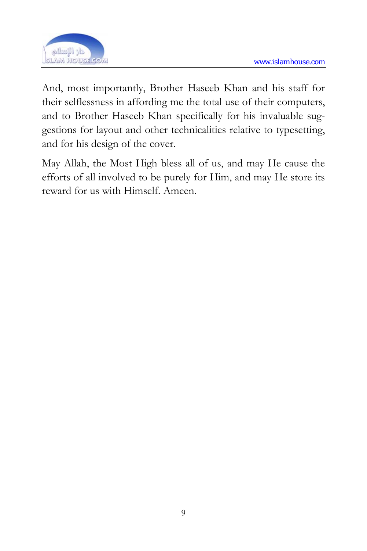

And, most importantly, Brother Haseeb Khan and his staff for their selflessness in affording me the total use of their computers, and to Brother Haseeb Khan specifically for his invaluable suggestions for layout and other technicalities relative to typesetting, and for his design of the cover.

May Allah, the Most High bless all of us, and may He cause the efforts of all involved to be purely for Him, and may He store its reward for us with Himself. Ameen.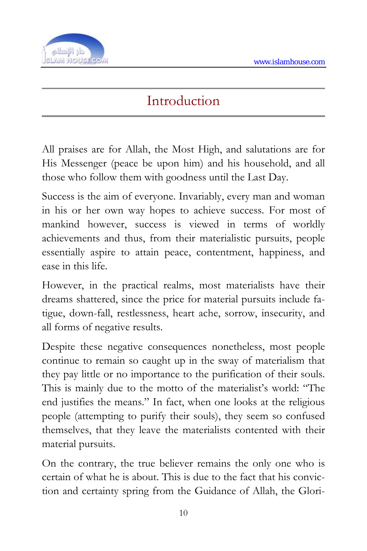

# Introduction

All praises are for Allah, the Most High, and salutations are for His Messenger (peace be upon him) and his household, and all those who follow them with goodness until the Last Day.

Success is the aim of everyone. Invariably, every man and woman in his or her own way hopes to achieve success. For most of mankind however, success is viewed in terms of worldly achievements and thus, from their materialistic pursuits, people essentially aspire to attain peace, contentment, happiness, and ease in this life.

However, in the practical realms, most materialists have their dreams shattered, since the price for material pursuits include fatigue, down-fall, restlessness, heart ache, sorrow, insecurity, and all forms of negative results.

Despite these negative consequences nonetheless, most people continue to remain so caught up in the sway of materialism that they pay little or no importance to the purification of their souls. This is mainly due to the motto of the materialist's world: "The end justifies the means." In fact, when one looks at the religious people (attempting to purify their souls), they seem so confused themselves, that they leave the materialists contented with their material pursuits.

On the contrary, the true believer remains the only one who is certain of what he is about. This is due to the fact that his conviction and certainty spring from the Guidance of Allah, the Glori-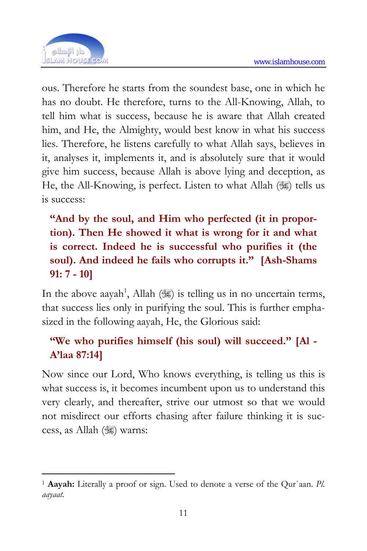

1

ous. Therefore he starts from the soundest base, one in which he has no doubt. He therefore, turns to the [A](#page-10-0)ll-Knowing, Allah, to tell him what is success, because he is aware that Allah created him, and He, the Almighty, would best know in what his success lies. Therefore, he listens carefully to what Allah says, believes in it, analyses it, implements it, and is absolutely sure that it would give him success, because Allah is above lying and deception, as He, the All-Knowing, is perfect. Listen to what Allah ( $\mathcal{H}$ ) tells us is success:

## **"And by the soul, and Him who perfected (it in proportion). Then He showed it what is wrong for it and what is correct. Indeed he is successful who purifies it (the soul). And indeed he fails who corrupts it." [Ash-Shams 91: 7 - 10]**

In the above aayah<sup>1</sup>, Allah ( $\gg$ ) is telling us in no uncertain terms, that success lies only in purifying the soul. This is further emphasized in the following aayah, He, the Glorious said:

#### **"We who purifies himself (his soul) will succeed." [Al - A'laa 87:14]**

Now since our Lord, Who knows everything, is telling us this is what success is, it becomes incumbent upon us to understand this very clearly, and thereafter, strive our utmost so that we would not misdirect our efforts chasing after failure thinking it is success, as Allah  $(\mathcal{H})$  warns:

<span id="page-10-0"></span><sup>1</sup> **Aayah:** Literally a proof or sign. Used to denote a verse of the Qur`aan. *Pl. aayaat.*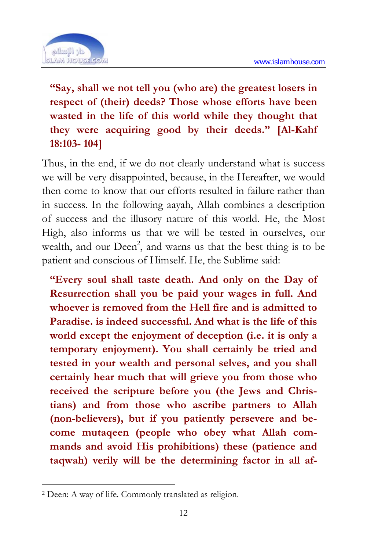

**"Say, shall we not tell you (who are) the greatest losers in respect of (their) deeds? Those whose efforts have been wasted in the life of this world while they thought that they were acquiring good by their deeds." [Al-Kahf 18:103- 104]**

Thus, in the end, if we do not clearly understand what is success we will be very disappointed, because, in the Hereafter, we would then come to know that our efforts resulted in failure rather than in success. In the following aayah, Allah combines a description of success and the illusory nature of this world. He, the Most High, also informs us that we will be tested in ourselves, our wealth, and our  $\rho_{\text{een}}^2$ , and warns us that the best thing is to be patient and conscious of Himself. He, the Sublime said:

**"Every soul shall taste death. And only on the Day of Resurrection shall you be paid your wages in full. And whoever is removed from the Hell fire and is admitted to Paradise. is indeed successful. And what is the life of this world except the enjoyment of deception (i.e. it is only a temporary enjoyment). You shall certainly be tried and tested in your wealth and personal selves, and you shall certainly hear much that will grieve you from those who received the scripture before you (the Jews and Christians) and from those who ascribe partners to Allah (non-believers), but if you patiently persevere and become mutaqeen (people who obey what Allah commands and avoid His prohibitions) these (patience and taqwah) verily will be the determining factor in all af-**

1

<sup>2</sup> Deen: A way of life. Commonly translated as religion.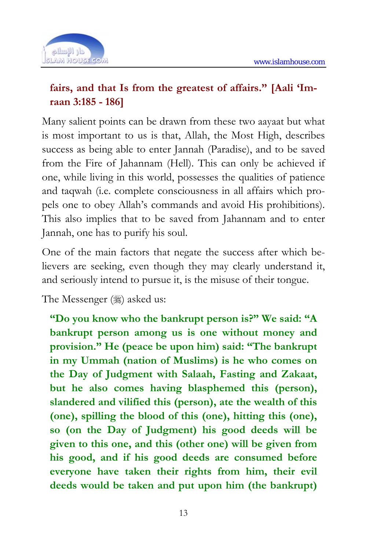

#### **fairs, and that Is from the greatest of affairs." [Aali 'Imraan 3:185 - 186]**

Many salient points can be drawn from these two aayaat but what is most important to us is that, Allah, the Most High, describes success as being able to enter Jannah (Paradise), and to be saved from the Fire of Jahannam (Hell). This can only be achieved if one, while living in this world, possesses the qualities of patience and taqwah (i.e. complete consciousness in all affairs which propels one to obey Allah's commands and avoid His prohibitions). This also implies that to be saved from Jahannam and to enter Jannah, one has to purify his soul.

One of the main factors that negate the success after which believers are seeking, even though they may clearly understand it, and seriously intend to pursue it, is the misuse of their tongue.

The Messenger (3) asked us:

**"Do you know who the bankrupt person is?" We said: "A bankrupt person among us is one without money and provision." He (peace be upon him) said: "The bankrupt in my Ummah (nation of Muslims) is he who comes on the Day of Judgment with Salaah, Fasting and Zakaat, but he also comes having blasphemed this (person), slandered and vilified this (person), ate the wealth of this (one), spilling the blood of this (one), hitting this (one), so (on the Day of Judgment) his good deeds will be given to this one, and this (other one) will be given from his good, and if his good deeds are consumed before everyone have taken their rights from him, their evil deeds would be taken and put upon him (the bankrupt)**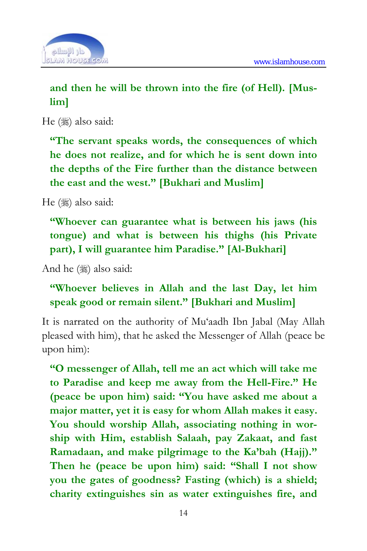

#### **and then he will be thrown into the fire (of Hell). [Muslim]**

He  $(\frac{1}{2})$  also said:

**"The servant speaks words, the consequences of which he does not realize, and for which he is sent down into the depths of the Fire further than the distance between the east and the west." [Bukhari and Muslim]** 

He  $(\frac{1}{2})$  also said:

**"Whoever can guarantee what is between his jaws (his tongue) and what is between his thighs (his Private part), I will guarantee him Paradise." [Al-Bukhari]** 

And he  $(\frac{1}{2})$  also said:

**"Whoever believes in Allah and the last Day, let him speak good or remain silent." [Bukhari and Muslim]** 

It is narrated on the authority of Mu'aadh Ibn Jabal (May Allah pleased with him), that he asked the Messenger of Allah (peace be upon him):

**"O messenger of Allah, tell me an act which will take me to Paradise and keep me away from the Hell-Fire." He (peace be upon him) said: "You have asked me about a major matter, yet it is easy for whom Allah makes it easy. You should worship Allah, associating nothing in worship with Him, establish Salaah, pay Zakaat, and fast Ramadaan, and make pilgrimage to the Ka'bah (Hajj)." Then he (peace be upon him) said: "Shall I not show you the gates of goodness? Fasting (which) is a shield; charity extinguishes sin as water extinguishes fire, and**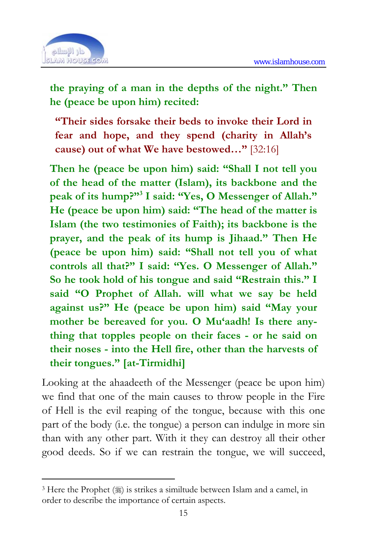

1

**the praying of a man in the depths of the night." Then he (peace be upon him) recited:** 

**"Their sides forsake their beds to invoke their Lord in fear and hope, and they spend (charity in Allah's cause) out of what We have bestowed…"** [32:16]

**Then he (peace be upon him) said: "Shall I not tell you of the head of the matter (Islam), its backbone and the peak of its hump?"3 I said: "Yes, O Messenger of Allah." He (peace be upon him) said: "The head of the matter is Islam (the two testimonies of Faith); its backbone is the prayer, and the peak of its hump is Jihaad." Then He (peace be upon him) said: "Shall not tell you of what controls all that?" I said: "Yes. O Messenger of Allah." So he took hold of his tongue and said "Restrain this." I said "O Prophet of Allah. will what we say be held against us?" He (peace be upon him) said "May your mother be bereaved for you. O Mu'aadh! Is there anything that topples people on their faces - or he said on their noses - into the Hell fire, other than the harvests of their tongues." [at-Tirmidhi]** 

Looking at the ahaadeeth of the Messenger (peace be upon him) we find that one of the main causes to throw people in the Fire of Hell is the evil reaping of the tongue, because with this one part of the body (i.e. the tongue) a person can indulge in more sin than with any other part. With it they can destroy all their other good deeds. So if we can restrain the tongue, we will succeed,

<sup>&</sup>lt;sup>3</sup> Here the Prophet  $(\frac{1}{2})$  is strikes a similtude between Islam and a camel, in order to describe the importance of certain aspects.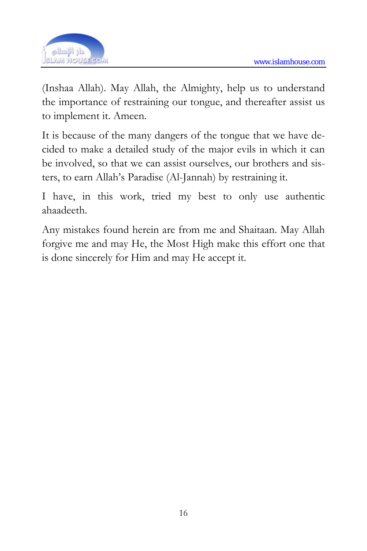

(Inshaa Allah). May Allah, the Almighty, help us to understand the importance of restraining our tongue, and thereafter assist us to implement it. Ameen.

It is because of the many dangers of the tongue that we have decided to make a detailed study of the major evils in which it can be involved, so that we can assist ourselves, our brothers and sisters, to earn Allah's Paradise (Al-Jannah) by restraining it.

I have, in this work, tried my best to only use authentic ahaadeeth.

Any mistakes found herein are from me and Shaitaan. May Allah forgive me and may He, the Most High make this effort one that is done sincerely for Him and may He accept it.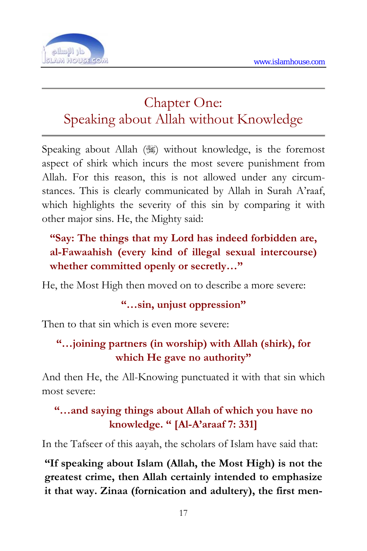

# Chapter One: Speaking about Allah without Knowledge

Speaking about Allah ( $\gg$ ) without knowledge, is the foremost aspect of shirk which incurs the most severe punishment from Allah. For this reason, this is not allowed under any circumstances. This is clearly communicated by Allah in Surah A'raaf, which highlights the severity of this sin by comparing it with other major sins. He, the Mighty said:

## **"Say: The things that my Lord has indeed forbidden are, al-Fawaahish (every kind of illegal sexual intercourse) whether committed openly or secretly…"**

He, the Most High then moved on to describe a more severe:

## **"…sin, unjust oppression"**

Then to that sin which is even more severe:

#### **"…joining partners (in worship) with Allah (shirk), for which He gave no authority"**

And then He, the All-Knowing punctuated it with that sin which most severe:

#### **"…and saying things about Allah of which you have no knowledge. " [Al-A'araaf 7: 331]**

In the Tafseer of this aayah, the scholars of Islam have said that:

**"If speaking about Islam (Allah, the Most High) is not the greatest crime, then Allah certainly intended to emphasize it that way. Zinaa (fornication and adultery), the first men-**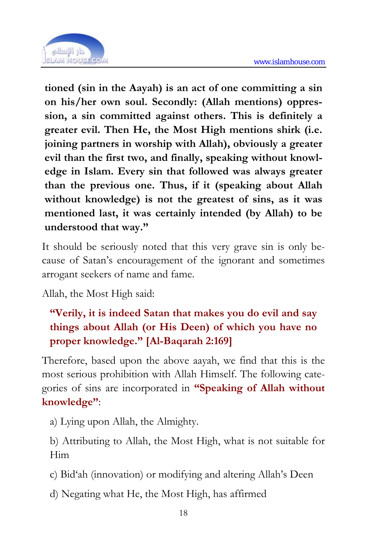

**tioned (sin in the Aayah) is an act of one committing a sin on his/her own soul. Secondly: (Allah mentions) oppression, a sin committed against others. This is definitely a greater evil. Then He, the Most High mentions shirk (i.e. joining partners in worship with Allah), obviously a greater evil than the first two, and finally, speaking without knowledge in Islam. Every sin that followed was always greater than the previous one. Thus, if it (speaking about Allah without knowledge) is not the greatest of sins, as it was mentioned last, it was certainly intended (by Allah) to be understood that way."** 

It should be seriously noted that this very grave sin is only because of Satan's encouragement of the ignorant and sometimes arrogant seekers of name and fame.

Allah, the Most High said:

## **"Verily, it is indeed Satan that makes you do evil and say things about Allah (or His Deen) of which you have no proper knowledge." [Al-Baqarah 2:169]**

Therefore, based upon the above aayah, we find that this is the most serious prohibition with Allah Himself. The following categories of sins are incorporated in **"Speaking of Allah without knowledge"**:

a) Lying upon Allah, the Almighty.

b) Attributing to Allah, the Most High, what is not suitable for Him

c) Bid'ah (innovation) or modifying and altering Allah's Deen

d) Negating what He, the Most High, has affirmed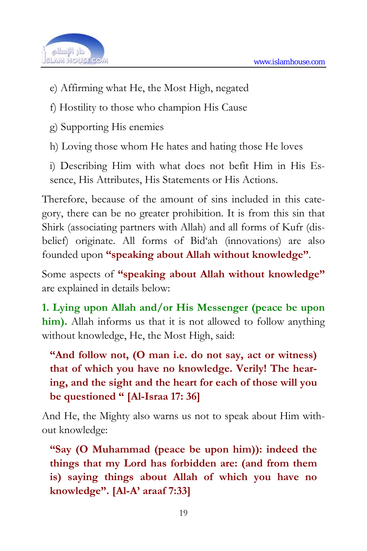

- e) Affirming what He, the Most High, negated
- f) Hostility to those who champion His Cause
- g) Supporting His enemies
- h) Loving those whom He hates and hating those He loves

i) Describing Him with what does not befit Him in His Essence, His Attributes, His Statements or His Actions.

Therefore, because of the amount of sins included in this category, there can be no greater prohibition. It is from this sin that Shirk (associating partners with Allah) and all forms of Kufr (disbelief) originate. All forms of Bid'ah (innovations) are also founded upon **"speaking about Allah without knowledge"**.

Some aspects of **"speaking about Allah without knowledge"** are explained in details below:

**1. Lying upon Allah and/or His Messenger (peace be upon him).** Allah informs us that it is not allowed to follow anything without knowledge, He, the Most High, said:

**"And follow not, (O man i.e. do not say, act or witness) that of which you have no knowledge. Verily! The hearing, and the sight and the heart for each of those will you be questioned " [Al-Israa 17: 36]**

And He, the Mighty also warns us not to speak about Him without knowledge:

**"Say (O Muhammad (peace be upon him)): indeed the things that my Lord has forbidden are: (and from them is) saying things about Allah of which you have no knowledge". [Al-A' araaf 7:33]**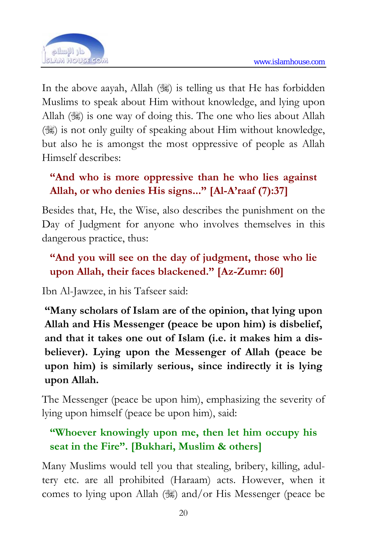

In the above aayah, Allah  $(\mathcal{H})$  is telling us that He has forbidden Muslims to speak about Him without knowledge, and lying upon Allah ( $\mathcal{H}$ ) is one way of doing this. The one who lies about Allah  $(\mathcal{K})$  is not only guilty of speaking about Him without knowledge, but also he is amongst the most oppressive of people as Allah Himself describes:

## **"And who is more oppressive than he who lies against Allah, or who denies His signs..." [Al-A'raaf (7):37]**

Besides that, He, the Wise, also describes the punishment on the Day of Judgment for anyone who involves themselves in this dangerous practice, thus:

## **"And you will see on the day of judgment, those who lie upon Allah, their faces blackened." [Az-Zumr: 60]**

Ibn Al-Jawzee, in his Tafseer said:

**"Many scholars of Islam are of the opinion, that lying upon Allah and His Messenger (peace be upon him) is disbelief, and that it takes one out of Islam (i.e. it makes him a disbeliever). Lying upon the Messenger of Allah (peace be upon him) is similarly serious, since indirectly it is lying upon Allah.** 

The Messenger (peace be upon him), emphasizing the severity of lying upon himself (peace be upon him), said:

#### **"Whoever knowingly upon me, then let him occupy his seat in the Fire". [Bukhari, Muslim & others]**

Many Muslims would tell you that stealing, bribery, killing, adultery etc. are all prohibited (Haraam) acts. However, when it comes to lying upon Allah  $(\mathcal{H})$  and/or His Messenger (peace be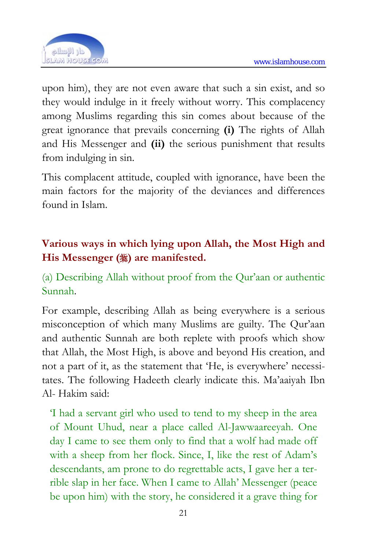

upon him), they are not even aware that such a sin exist, and so they would indulge in it freely without worry. This complacency among Muslims regarding this sin comes about because of the great ignorance that prevails concerning **(i)** The rights of Allah and His Messenger and **(ii)** the serious punishment that results from indulging in sin.

This complacent attitude, coupled with ignorance, have been the main factors for the majority of the deviances and differences found in Islam.

## **Various ways in which lying upon Allah, the Most High and**  His Messenger (,) are manifested.

(a) Describing Allah without proof from the Qur'aan or authentic Sunnah.

For example, describing Allah as being everywhere is a serious misconception of which many Muslims are guilty. The Qur'aan and authentic Sunnah are both replete with proofs which show that Allah, the Most High, is above and beyond His creation, and not a part of it, as the statement that 'He, is everywhere' necessitates. The following Hadeeth clearly indicate this. Ma'aaiyah Ibn Al- Hakim said:

'I had a servant girl who used to tend to my sheep in the area of Mount Uhud, near a place called Al-Jawwaareeyah. One day I came to see them only to find that a wolf had made off with a sheep from her flock. Since, I, like the rest of Adam's descendants, am prone to do regrettable acts, I gave her a terrible slap in her face. When I came to Allah' Messenger (peace be upon him) with the story, he considered it a grave thing for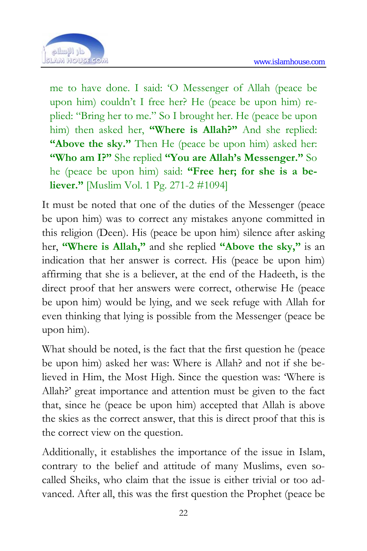

me to have done. I said: 'O Messenger of Allah (peace be upon him) couldn't I free her? He (peace be upon him) replied: "Bring her to me." So I brought her. He (peace be upon him) then asked her, **"Where is Allah?"** And she replied: "Above the sky." Then He (peace be upon him) asked her: **"Who am I?"** She replied **"You are Allah's Messenger."** So he (peace be upon him) said: **"Free her; for she is a believer."** [Muslim Vol. 1 Pg. 271-2 #1094]

It must be noted that one of the duties of the Messenger (peace be upon him) was to correct any mistakes anyone committed in this religion (Deen). His (peace be upon him) silence after asking her, **"Where is Allah,"** and she replied **"Above the sky,"** is an indication that her answer is correct. His (peace be upon him) affirming that she is a believer, at the end of the Hadeeth, is the direct proof that her answers were correct, otherwise He (peace be upon him) would be lying, and we seek refuge with Allah for even thinking that lying is possible from the Messenger (peace be upon him).

What should be noted, is the fact that the first question he (peace be upon him) asked her was: Where is Allah? and not if she believed in Him, the Most High. Since the question was: 'Where is Allah?' great importance and attention must be given to the fact that, since he (peace be upon him) accepted that Allah is above the skies as the correct answer, that this is direct proof that this is the correct view on the question.

Additionally, it establishes the importance of the issue in Islam, contrary to the belief and attitude of many Muslims, even socalled Sheiks, who claim that the issue is either trivial or too advanced. After all, this was the first question the Prophet (peace be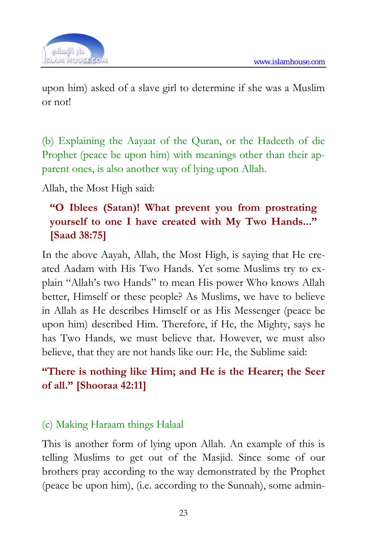

upon him) asked of a slave girl to determine if she was a Muslim or not!

(b) Explaining the Aayaat of the Quran, or the Hadeeth of die Prophet (peace be upon him) with meanings other than their apparent ones, is also another way of lying upon Allah.

Allah, the Most High said:

## **"O Iblees (Satan)! What prevent you from prostrating yourself to one I have created with My Two Hands..." [Saad 38:75]**

In the above Aayah, Allah, the Most High, is saying that He created Aadam with His Two Hands. Yet some Muslims try to explain "Allah's two Hands" to mean His power Who knows Allah better, Himself or these people? As Muslims, we have to believe in Allah as He describes Himself or as His Messenger (peace be upon him) described Him. Therefore, if He, the Mighty, says he has Two Hands, we must believe that. However, we must also believe, that they are not hands like our: He, the Sublime said:

#### **"There is nothing like Him; and He is the Hearer; the Seer of all." [Shooraa 42:11]**

#### (c) Making Haraam things Halaal

This is another form of lying upon Allah. An example of this is telling Muslims to get out of the Masjid. Since some of our brothers pray according to the way demonstrated by the Prophet (peace be upon him), (i.e. according to the Sunnah), some admin-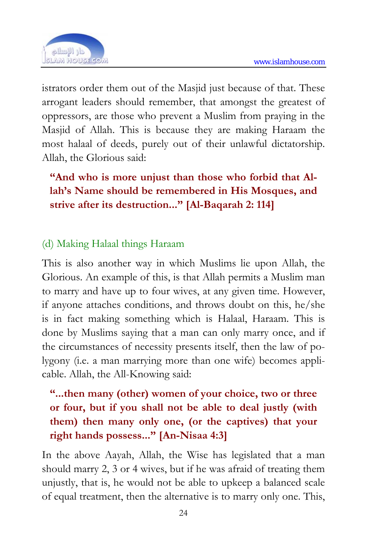

istrators order them out of the Masjid just because of that. These arrogant leaders should remember, that amongst the greatest of oppressors, are those who prevent a Muslim from praying in the Masjid of Allah. This is because they are making Haraam the most halaal of deeds, purely out of their unlawful dictatorship. Allah, the Glorious said:

**"And who is more unjust than those who forbid that Allah's Name should be remembered in His Mosques, and strive after its destruction..." [Al-Baqarah 2: 114]** 

#### (d) Making Halaal things Haraam

This is also another way in which Muslims lie upon Allah, the Glorious. An example of this, is that Allah permits a Muslim man to marry and have up to four wives, at any given time. However, if anyone attaches conditions, and throws doubt on this, he/she is in fact making something which is Halaal, Haraam. This is done by Muslims saying that a man can only marry once, and if the circumstances of necessity presents itself, then the law of polygony (i.e. a man marrying more than one wife) becomes applicable. Allah, the All-Knowing said:

#### **"...then many (other) women of your choice, two or three or four, but if you shall not be able to deal justly (with them) then many only one, (or the captives) that your right hands possess..." [An-Nisaa 4:3]**

In the above Aayah, Allah, the Wise has legislated that a man should marry 2, 3 or 4 wives, but if he was afraid of treating them unjustly, that is, he would not be able to upkeep a balanced scale of equal treatment, then the alternative is to marry only one. This,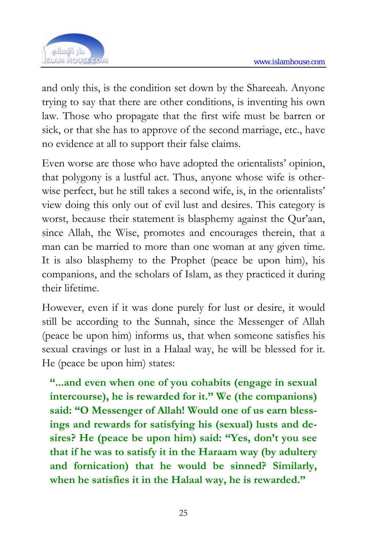

and only this, is the condition set down by the Shareeah. Anyone trying to say that there are other conditions, is inventing his own law. Those who propagate that the first wife must be barren or sick, or that she has to approve of the second marriage, etc., have no evidence at all to support their false claims.

Even worse are those who have adopted the orientalists' opinion, that polygony is a lustful act. Thus, anyone whose wife is otherwise perfect, but he still takes a second wife, is, in the orientalists' view doing this only out of evil lust and desires. This category is worst, because their statement is blasphemy against the Qur'aan, since Allah, the Wise, promotes and encourages therein, that a man can be married to more than one woman at any given time. It is also blasphemy to the Prophet (peace be upon him), his companions, and the scholars of Islam, as they practiced it during their lifetime.

However, even if it was done purely for lust or desire, it would still be according to the Sunnah, since the Messenger of Allah (peace be upon him) informs us, that when someone satisfies his sexual cravings or lust in a Halaal way, he will be blessed for it. He (peace be upon him) states:

**"...and even when one of you cohabits (engage in sexual intercourse), he is rewarded for it.'' We (the companions) said: "O Messenger of Allah! Would one of us earn blessings and rewards for satisfying his (sexual) lusts and desires? He (peace be upon him) said: "Yes, don't you see that if he was to satisfy it in the Haraam way (by adultery and fornication) that he would be sinned? Similarly, when he satisfies it in the Halaal way, he is rewarded."**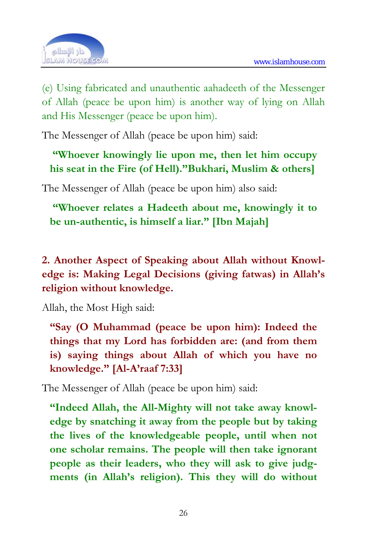

(e) Using fabricated and unauthentic aahadeeth of the Messenger of Allah (peace be upon him) is another way of lying on Allah and His Messenger (peace be upon him).

The Messenger of Allah (peace be upon him) said:

**"Whoever knowingly lie upon me, then let him occupy his seat in the Fire (of Hell)."Bukhari, Muslim & others]** 

The Messenger of Allah (peace be upon him) also said:

**"Whoever relates a Hadeeth about me, knowingly it to be un-authentic, is himself a liar." [Ibn Majah]** 

**2. Another Aspect of Speaking about Allah without Knowledge is: Making Legal Decisions (giving fatwas) in Allah's religion without knowledge.**

Allah, the Most High said:

**"Say (O Muhammad (peace be upon him): Indeed the things that my Lord has forbidden are: (and from them is) saying things about Allah of which you have no knowledge." [Al-A'raaf 7:33]** 

The Messenger of Allah (peace be upon him) said:

**"Indeed Allah, the All-Mighty will not take away knowledge by snatching it away from the people but by taking the lives of the knowledgeable people, until when not one scholar remains. The people will then take ignorant people as their leaders, who they will ask to give judgments (in Allah's religion). This they will do without**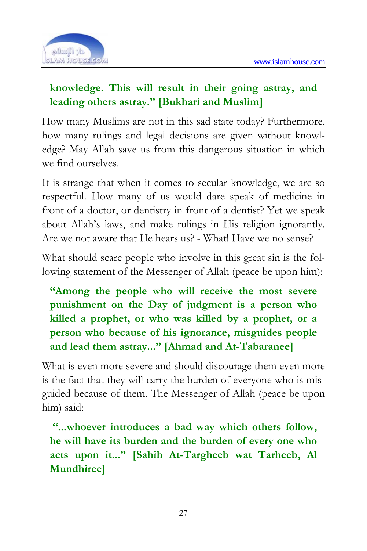

#### **knowledge. This will result in their going astray, and leading others astray." [Bukhari and Muslim]**

How many Muslims are not in this sad state today? Furthermore, how many rulings and legal decisions are given without knowledge? May Allah save us from this dangerous situation in which we find ourselves.

It is strange that when it comes to secular knowledge, we are so respectful. How many of us would dare speak of medicine in front of a doctor, or dentistry in front of a dentist? Yet we speak about Allah's laws, and make rulings in His religion ignorantly. Are we not aware that He hears us? - What! Have we no sense?

What should scare people who involve in this great sin is the following statement of the Messenger of Allah (peace be upon him):

**"Among the people who will receive the most severe punishment on the Day of judgment is a person who killed a prophet, or who was killed by a prophet, or a person who because of his ignorance, misguides people and lead them astray..." [Ahmad and At-Tabaranee]** 

What is even more severe and should discourage them even more is the fact that they will carry the burden of everyone who is misguided because of them. The Messenger of Allah (peace be upon him) said:

 **"...whoever introduces a bad way which others follow, he will have its burden and the burden of every one who acts upon it..." [Sahih At-Targheeb wat Tarheeb, Al Mundhiree]**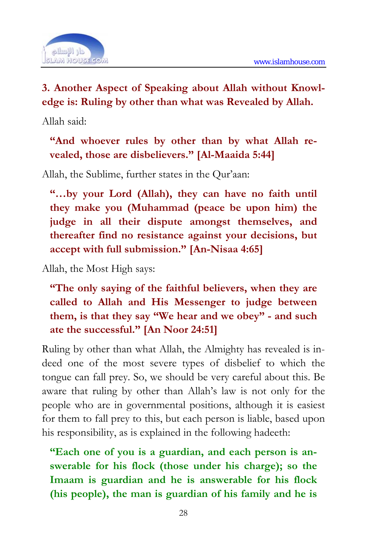

#### **3. Another Aspect of Speaking about Allah without Knowledge is: Ruling by other than what was Revealed by Allah.**

Allah said:

**"And whoever rules by other than by what Allah revealed, those are disbelievers." [Al-Maaida 5:44]** 

Allah, the Sublime, further states in the Qur'aan:

**"…by your Lord (Allah), they can have no faith until they make you (Muhammad (peace be upon him) the judge in all their dispute amongst themselves, and thereafter find no resistance against your decisions, but accept with full submission." [An-Nisaa 4:65]** 

Allah, the Most High says:

**"The only saying of the faithful believers, when they are called to Allah and His Messenger to judge between them, is that they say "We hear and we obey" - and such ate the successful." [An Noor 24:51]** 

Ruling by other than what Allah, the Almighty has revealed is indeed one of the most severe types of disbelief to which the tongue can fall prey. So, we should be very careful about this. Be aware that ruling by other than Allah's law is not only for the people who are in governmental positions, although it is easiest for them to fall prey to this, but each person is liable, based upon his responsibility, as is explained in the following hadeeth:

**"Each one of you is a guardian, and each person is answerable for his flock (those under his charge); so the Imaam is guardian and he is answerable for his flock (his people), the man is guardian of his family and he is**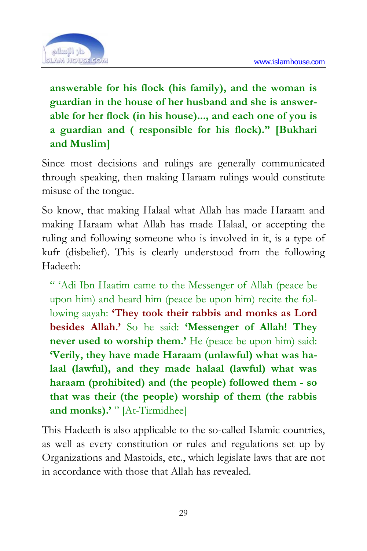

**answerable for his flock (his family), and the woman is guardian in the house of her husband and she is answerable for her flock (in his house)..., and each one of you is a guardian and ( responsible for his flock)." [Bukhari and Muslim]** 

Since most decisions and rulings are generally communicated through speaking, then making Haraam rulings would constitute misuse of the tongue.

So know, that making Halaal what Allah has made Haraam and making Haraam what Allah has made Halaal, or accepting the ruling and following someone who is involved in it, is a type of kufr (disbelief). This is clearly understood from the following Hadeeth:

" 'Adi Ibn Haatim came to the Messenger of Allah (peace be upon him) and heard him (peace be upon him) recite the following aayah: **'They took their rabbis and monks as Lord besides Allah.'** So he said: **'Messenger of Allah! They never used to worship them.'** He (peace be upon him) said: **'Verily, they have made Haraam (unlawful) what was halaal (lawful), and they made halaal (lawful) what was haraam (prohibited) and (the people) followed them - so that was their (the people) worship of them (the rabbis and monks).'** " [At-Tirmidhee]

This Hadeeth is also applicable to the so-called Islamic countries, as well as every constitution or rules and regulations set up by Organizations and Mastoids, etc., which legislate laws that are not in accordance with those that Allah has revealed.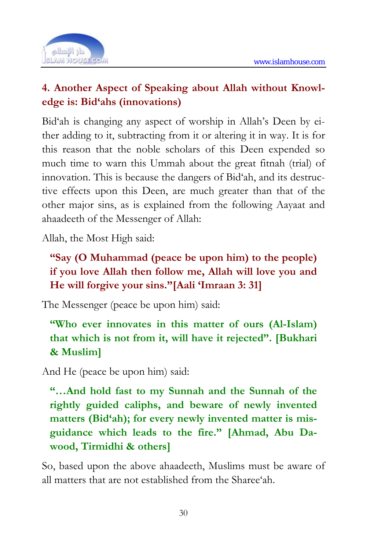

#### **4. Another Aspect of Speaking about Allah without Knowledge is: Bid'ahs (innovations)**

Bid'ah is changing any aspect of worship in Allah's Deen by either adding to it, subtracting from it or altering it in way. It is for this reason that the noble scholars of this Deen expended so much time to warn this Ummah about the great fitnah (trial) of innovation. This is because the dangers of Bid'ah, and its destructive effects upon this Deen, are much greater than that of the other major sins, as is explained from the following Aayaat and ahaadeeth of the Messenger of Allah:

Allah, the Most High said:

**"Say (O Muhammad (peace be upon him) to the people) if you love Allah then follow me, Allah will love you and He will forgive your sins."[Aali 'Imraan 3: 31]** 

The Messenger (peace be upon him) said:

**"Who ever innovates in this matter of ours (Al-Islam) that which is not from it, will have it rejected". [Bukhari & Muslim]** 

And He (peace be upon him) said:

**"…And hold fast to my Sunnah and the Sunnah of the rightly guided caliphs, and beware of newly invented matters (Bid'ah); for every newly invented matter is misguidance which leads to the fire." [Ahmad, Abu Dawood, Tirmidhi & others]** 

So, based upon the above ahaadeeth, Muslims must be aware of all matters that are not established from the Sharee'ah.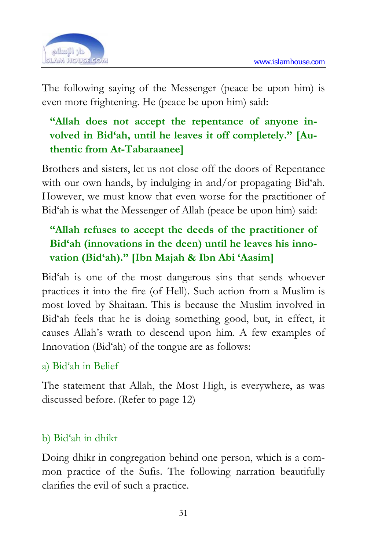

The following saying of the Messenger (peace be upon him) is even more frightening. He (peace be upon him) said:

#### **"Allah does not accept the repentance of anyone involved in Bid'ah, until he leaves it off completely." [Authentic from At-Tabaraanee]**

Brothers and sisters, let us not close off the doors of Repentance with our own hands, by indulging in and/or propagating Bid'ah. However, we must know that even worse for the practitioner of Bid'ah is what the Messenger of Allah (peace be upon him) said:

## **"Allah refuses to accept the deeds of the practitioner of Bid'ah (innovations in the deen) until he leaves his innovation (Bid'ah)." [Ibn Majah & Ibn Abi 'Aasim]**

Bid'ah is one of the most dangerous sins that sends whoever practices it into the fire (of Hell). Such action from a Muslim is most loved by Shaitaan. This is because the Muslim involved in Bid'ah feels that he is doing something good, but, in effect, it causes Allah's wrath to descend upon him. A few examples of Innovation (Bid'ah) of the tongue are as follows:

#### a) Bid'ah in Belief

The statement that Allah, the Most High, is everywhere, as was discussed before. (Refer to page 12)

#### b) Bid'ah in dhikr

Doing dhikr in congregation behind one person, which is a common practice of the Sufis. The following narration beautifully clarifies the evil of such a practice.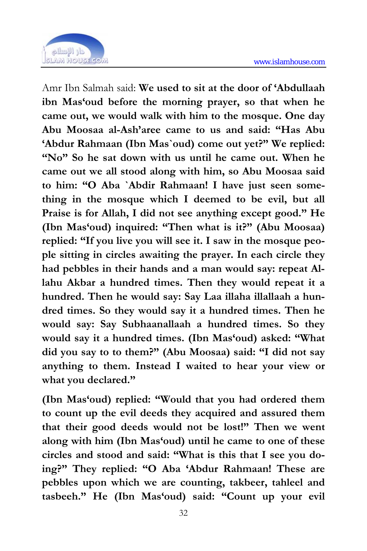

Amr Ibn Salmah said: **We used to sit at the door of 'Abdullaah ibn Mas'oud before the morning prayer, so that when he came out, we would walk with him to the mosque. One day Abu Moosaa al-Ash'aree came to us and said: "Has Abu 'Abdur Rahmaan (Ibn Mas`oud) come out yet?" We replied: "No" So he sat down with us until he came out. When he came out we all stood along with him, so Abu Moosaa said to him: "O Aba `Abdir Rahmaan! I have just seen something in the mosque which I deemed to be evil, but all Praise is for Allah, I did not see anything except good." He (Ibn Mas'oud) inquired: "Then what is it?" (Abu Moosaa) replied: "If you live you will see it. I saw in the mosque people sitting in circles awaiting the prayer. In each circle they had pebbles in their hands and a man would say: repeat Allahu Akbar a hundred times. Then they would repeat it a hundred. Then he would say: Say Laa illaha illallaah a hundred times. So they would say it a hundred times. Then he would say: Say Subhaanallaah a hundred times. So they would say it a hundred times. (Ibn Mas'oud) asked: "What did you say to to them?" (Abu Moosaa) said: "I did not say anything to them. Instead I waited to hear your view or what you declared."** 

**(Ibn Mas'oud) replied: "Would that you had ordered them to count up the evil deeds they acquired and assured them that their good deeds would not be lost!" Then we went along with him (Ibn Mas'oud) until he came to one of these circles and stood and said: "What is this that I see you doing?" They replied: "O Aba 'Abdur Rahmaan! These are pebbles upon which we are counting, takbeer, tahleel and tasbeeh." He (Ibn Mas'oud) said: "Count up your evil**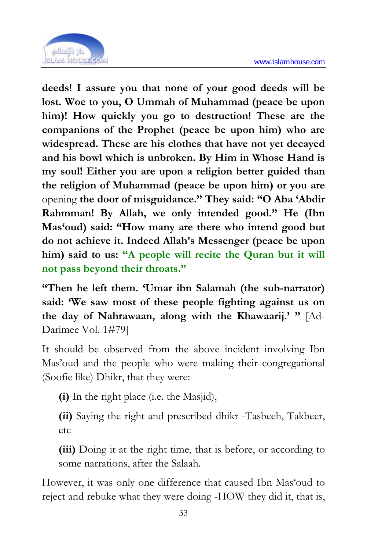

**deeds! I assure you that none of your good deeds will be lost. Woe to you, O Ummah of Muhammad (peace be upon him)! How quickly you go to destruction! These are the companions of the Prophet (peace be upon him) who are widespread. These are his clothes that have not yet decayed and his bowl which is unbroken. By Him in Whose Hand is my soul! Either you are upon a religion better guided than the religion of Muhammad (peace be upon him) or you are** opening **the door of misguidance." They said: "O Aba 'Abdir Rahmman! By Allah, we only intended good." He (Ibn Mas'oud) said: "How many are there who intend good but do not achieve it. Indeed Allah's Messenger (peace be upon him) said to us: "A people will recite the Quran but it will not pass beyond their throats."**

**"Then he left them. 'Umar ibn Salamah (the sub-narrator) said: 'We saw most of these people fighting against us on the day of Nahrawaan, along with the Khawaarij.' "** [Ad-Darimee Vol. 1#79]

It should be observed from the above incident involving Ibn Mas'oud and the people who were making their congregational (Soofie like) Dhikr, that they were:

**(i)** In the right place (i.e. the Masjid),

**(ii)** Saying the right and prescribed dhikr -Tasbeeh, Takbeer, etc

**(iii)** Doing it at the right time, that is before, or according to some narrations, after the Salaah.

However, it was only one difference that caused Ibn Mas'oud to reject and rebuke what they were doing -HOW they did it, that is,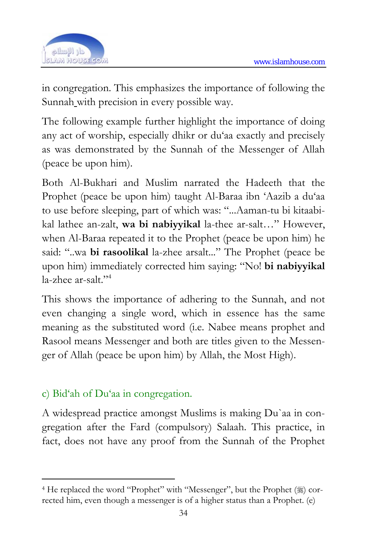

in congregation. This emphasizes the i[m](#page-33-0)portance of following the Sunnah with precision in every possible way.

The following example further highlight the importance of doing any act of worship, especially dhikr or du'aa exactly and precisely as was demonstrated by the Sunnah of the Messenger of Allah (peace be upon him).

Both Al-Bukhari and Muslim narrated the Hadeeth that the Prophet (peace be upon him) taught Al-Baraa ibn 'Aazib a du'aa to use before sleeping, part of which was: "...Aaman-tu bi kitaabikal lathee an-zalt, **wa bi nabiyyikal** la-thee ar-salt…" However, when Al-Baraa repeated it to the Prophet (peace be upon him) he said: "..wa **bi rasoolikal** la-zhee arsalt..." The Prophet (peace be upon him) immediately corrected him saying: "No! **bi nabiyyikal**  $l$ a-zhee ar-salt $"$ <sup>4</sup>

This shows the importance of adhering to the Sunnah, and not even changing a single word, which in essence has the same meaning as the substituted word (i.e. Nabee means prophet and Rasool means Messenger and both are titles given to the Messenger of Allah (peace be upon him) by Allah, the Most High).

#### c) Bid'ah of Du'aa in congregation.

1

A widespread practice amongst Muslims is making Du`aa in congregation after the Fard (compulsory) Salaah. This practice, in fact, does not have any proof from the Sunnah of the Prophet

<span id="page-33-0"></span><sup>&</sup>lt;sup>4</sup> He replaced the word "Prophet" with "Messenger", but the Prophet ( $\frac{1}{20}$ ) corrected him, even though a messenger is of a higher status than a Prophet. (e)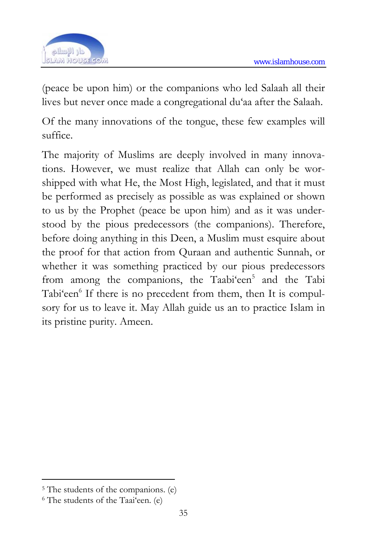

(peace be upon him) or the companions who led Salaah all their lives but never once made a co[ng](#page-34-0)regational du'aa after the Salaah.

Of the many innovations of the tongue, these few examples will suffice.

The majority of Muslims are deeply involved in many innovations. However, we must realize that Allah can only be worshipped with what He, the Most High, legislated, and that it must be performed as precisely as possible as was explained or shown to us by the Prophet (peace be upon him) and as it was understood by the pious predecessors (the companions). Therefore, before doing anything in this Deen, a Muslim must esquire about the proof for that action from Quraan and authentic Sunnah, or whether it was something practiced by our pious predecessors from among the companions, the Taabi'een<sup>5</sup> and the Tabi Tabi'een<sup>6</sup> If there is no precedent from them, then It is compulsory for us to leave it. May Allah guide us an to practice Islam in its pristine purity. Ameen.

1

<sup>5</sup> The students of the companions. (e)

<span id="page-34-0"></span><sup>6</sup> The students of the Taai'een. (e)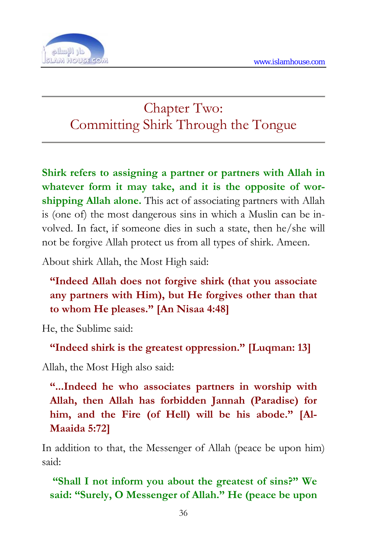

# Chapter Two: Committing Shirk Through the Tongue

**Shirk refers to assigning a partner or partners with Allah in whatever form it may take, and it is the opposite of worshipping Allah alone.** This act of associating partners with Allah is (one of) the most dangerous sins in which a Muslin can be involved. In fact, if someone dies in such a state, then he/she will not be forgive Allah protect us from all types of shirk. Ameen.

About shirk Allah, the Most High said:

**"Indeed Allah does not forgive shirk (that you associate any partners with Him), but He forgives other than that to whom He pleases." [An Nisaa 4:48]** 

He, the Sublime said:

**"Indeed shirk is the greatest oppression." [Luqman: 13]** 

Allah, the Most High also said:

**"...Indeed he who associates partners in worship with Allah, then Allah has forbidden Jannah (Paradise) for him, and the Fire (of Hell) will be his abode." [Al-Maaida 5:72]** 

In addition to that, the Messenger of Allah (peace be upon him) said:

**"Shall I not inform you about the greatest of sins?" We said: "Surely, O Messenger of Allah." He (peace be upon**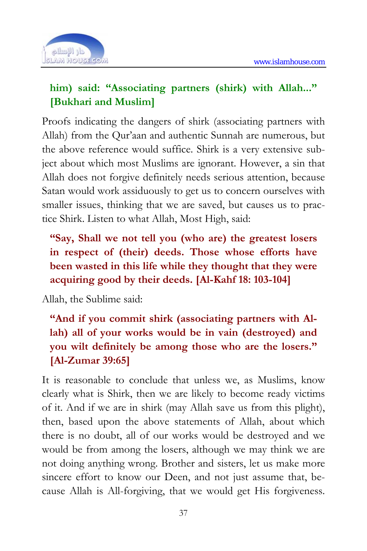

## **him) said: "Associating partners (shirk) with Allah..." [Bukhari and Muslim]**

Proofs indicating the dangers of shirk (associating partners with Allah) from the Qur'aan and authentic Sunnah are numerous, but the above reference would suffice. Shirk is a very extensive subject about which most Muslims are ignorant. However, a sin that Allah does not forgive definitely needs serious attention, because Satan would work assiduously to get us to concern ourselves with smaller issues, thinking that we are saved, but causes us to practice Shirk. Listen to what Allah, Most High, said:

**"Say, Shall we not tell you (who are) the greatest losers in respect of (their) deeds. Those whose efforts have been wasted in this life while they thought that they were acquiring good by their deeds. [Al-Kahf 18: 103-104]** 

Allah, the Sublime said:

**"And if you commit shirk (associating partners with Allah) all of your works would be in vain (destroyed) and you wilt definitely be among those who are the losers." [Al-Zumar 39:65]** 

It is reasonable to conclude that unless we, as Muslims, know clearly what is Shirk, then we are likely to become ready victims of it. And if we are in shirk (may Allah save us from this plight), then, based upon the above statements of Allah, about which there is no doubt, all of our works would be destroyed and we would be from among the losers, although we may think we are not doing anything wrong. Brother and sisters, let us make more sincere effort to know our Deen, and not just assume that, because Allah is All-forgiving, that we would get His forgiveness.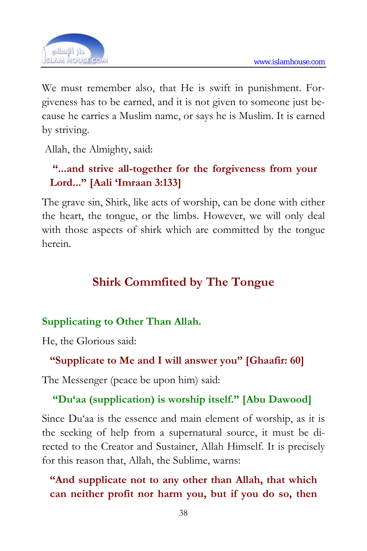

We must remember also, that He is swift in punishment. Forgiveness has to be earned, and it is not given to someone just because he carries a Muslim name, or says he is Muslim. It is earned by striving.

Allah, the Almighty, said:

## **"...and strive all-together for the forgiveness from your Lord..." [Aali 'Imraan 3:133]**

The grave sin, Shirk, like acts of worship, can be done with either the heart, the tongue, or the limbs. However, we will only deal with those aspects of shirk which are committed by the tongue herein.

# **Shirk Commfited by The Tongue**

## **Supplicating to Other Than Allah.**

He, the Glorious said:

## **"Supplicate to Me and I will answer you" [Ghaafir: 60]**

The Messenger (peace be upon him) said:

## **"Du'aa (supplication) is worship itself." [Abu Dawood]**

Since Du'aa is the essence and main element of worship, as it is the seeking of help from a supernatural source, it must be directed to the Creator and Sustainer, Allah Himself. It is precisely for this reason that, Allah, the Sublime, warns:

**"And supplicate not to any other than Allah, that which can neither profit nor harm you, but if you do so, then**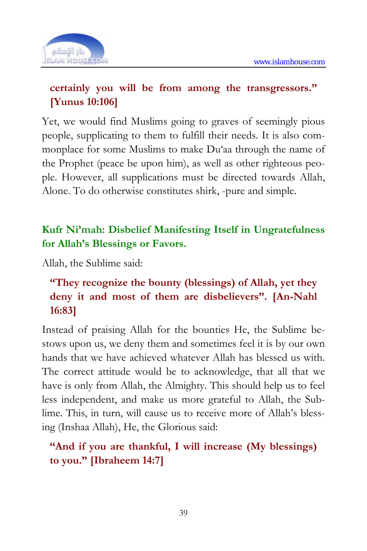

## **certainly you will be from among the transgressors." [Yunus 10:106]**

Yet, we would find Muslims going to graves of seemingly pious people, supplicating to them to fulfill their needs. It is also commonplace for some Muslims to make Du'aa through the name of the Prophet (peace be upon him), as well as other righteous people. However, all supplications must be directed towards Allah, Alone. To do otherwise constitutes shirk, -pure and simple.

## **Kufr Ni'mah: Disbelief Manifesting Itself in Ungratefulness for Allah's Blessings or Favors.**

Allah, the Sublime said:

## **"They recognize the bounty (blessings) of Allah, yet they deny it and most of them are disbelievers". [An-Nahl 16:83]**

Instead of praising Allah for the bounties He, the Sublime bestows upon us, we deny them and sometimes feel it is by our own hands that we have achieved whatever Allah has blessed us with. The correct attitude would be to acknowledge, that all that we have is only from Allah, the Almighty. This should help us to feel less independent, and make us more grateful to Allah, the Sublime. This, in turn, will cause us to receive more of Allah's blessing (Inshaa Allah), He, the Glorious said:

## **"And if you are thankful, I will increase (My blessings) to you." [Ibraheem 14:7]**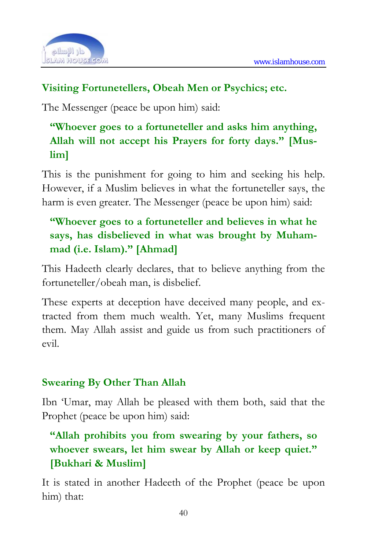

### **Visiting Fortunetellers, Obeah Men or Psychics; etc.**

The Messenger (peace be upon him) said:

## **"Whoever goes to a fortuneteller and asks him anything, Allah will not accept his Prayers for forty days." [Muslim]**

This is the punishment for going to him and seeking his help. However, if a Muslim believes in what the fortuneteller says, the harm is even greater. The Messenger (peace be upon him) said:

## **"Whoever goes to a fortuneteller and believes in what he says, has disbelieved in what was brought by Muhammad (i.e. Islam)." [Ahmad]**

This Hadeeth clearly declares, that to believe anything from the fortuneteller/obeah man, is disbelief.

These experts at deception have deceived many people, and extracted from them much wealth. Yet, many Muslims frequent them. May Allah assist and guide us from such practitioners of evil.

#### **Swearing By Other Than Allah**

Ibn 'Umar, may Allah be pleased with them both, said that the Prophet (peace be upon him) said:

## **"Allah prohibits you from swearing by your fathers, so whoever swears, let him swear by Allah or keep quiet." [Bukhari & Muslim]**

It is stated in another Hadeeth of the Prophet (peace be upon him) that: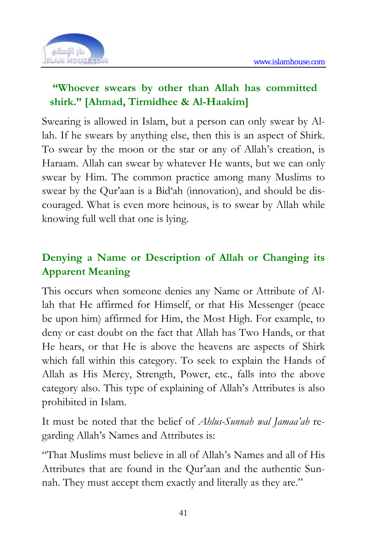

#### **"Whoever swears by other than Allah has committed shirk." [Ahmad, Tirmidhee & Al-Haakim]**

Swearing is allowed in Islam, but a person can only swear by Allah. If he swears by anything else, then this is an aspect of Shirk. To swear by the moon or the star or any of Allah's creation, is Haraam. Allah can swear by whatever He wants, but we can only swear by Him. The common practice among many Muslims to swear by the Qur'aan is a Bid'ah (innovation), and should be discouraged. What is even more heinous, is to swear by Allah while knowing full well that one is lying.

## **Denying a Name or Description of Allah or Changing its Apparent Meaning**

This occurs when someone denies any Name or Attribute of Allah that He affirmed for Himself, or that His Messenger (peace be upon him) affirmed for Him, the Most High. For example, to deny or cast doubt on the fact that Allah has Two Hands, or that He hears, or that He is above the heavens are aspects of Shirk which fall within this category. To seek to explain the Hands of Allah as His Mercy, Strength, Power, etc., falls into the above category also. This type of explaining of Allah's Attributes is also prohibited in Islam.

It must be noted that the belief of *Ahlus-Sunnah wal Jamaa'ah* regarding Allah's Names and Attributes is:

"That Muslims must believe in all of Allah's Names and all of His Attributes that are found in the Qur'aan and the authentic Sunnah. They must accept them exactly and literally as they are."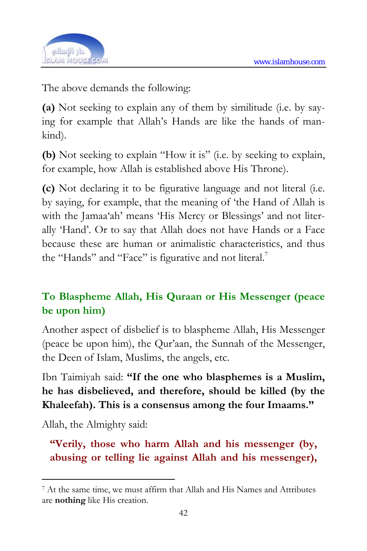

The above demands the following:

**(a)** Not seeking to explain any of them by similitude (i.e. by saying for example that Allah's Hands are like the hands of mankind).

**(b)** Not seeking to explain "How it is" (i.e. by seeking to explain, for example, how Allah is established above His Throne).

**(c)** Not declaring it to be figurative language and not literal (i.e. by saying, for example, that the meaning of 'the Hand of Allah is with the Jamaa'ah' means 'His Mercy or Blessings' and not literally 'Hand'. Or to say that Allah does not have Hands or a Face because these are human or animalistic characteristics, and thus the "Hands" and "Face" is figurative and not literal.<sup>7</sup>

## **To Blaspheme Allah, His Quraan or His Messenger (peace be upon him)**

Another aspect of disbelief is to blaspheme Allah, His Messenger (peace be upon him), the Qur'aan, the Sunnah of the Messenger, the Deen of Islam, Muslims, the angels, etc.

Ibn Taimiyah said: **"If the one who blasphemes is a Muslim, he has disbelieved, and therefore, should be killed (by the Khaleefah). This is a consensus among the four Imaams."** 

Allah, the Almighty said:

1

**"Verily, those who harm Allah and his messenger (by, abusing or telling lie against Allah and his messenger),** 

<sup>7</sup> At the same time, we must affirm that Allah and His Names and Attributes are **nothing** like His creation.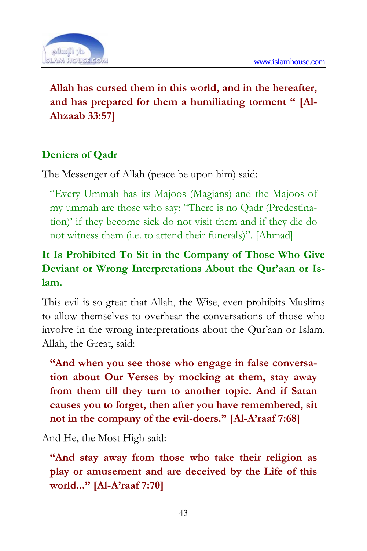

## **Allah has cursed them in this world, and in the hereafter, and has prepared for them a humiliating torment " [Al-Ahzaab 33:57]**

## **Deniers of Qadr**

The Messenger of Allah (peace be upon him) said:

"Every Ummah has its Majoos (Magians) and the Majoos of my ummah are those who say: "There is no Qadr (Predestination)' if they become sick do not visit them and if they die do not witness them (i.e. to attend their funerals)". [Ahmad]

## **It Is Prohibited To Sit in the Company of Those Who Give Deviant or Wrong Interpretations About the Qur'aan or Islam.**

This evil is so great that Allah, the Wise, even prohibits Muslims to allow themselves to overhear the conversations of those who involve in the wrong interpretations about the Qur'aan or Islam. Allah, the Great, said:

**"And when you see those who engage in false conversation about Our Verses by mocking at them, stay away from them till they turn to another topic. And if Satan causes you to forget, then after you have remembered, sit not in the company of the evil-doers." [Al-A'raaf 7:68]** 

And He, the Most High said:

**"And stay away from those who take their religion as play or amusement and are deceived by the Life of this world..." [Al-A'raaf 7:70]**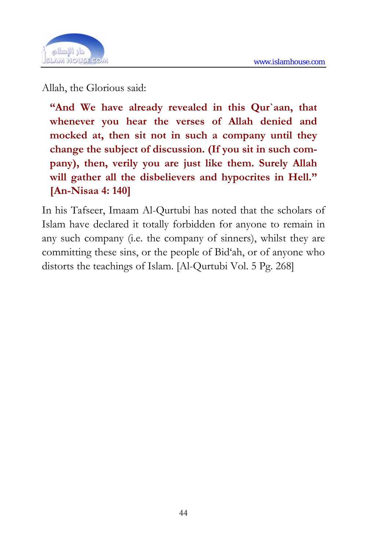

Allah, the Glorious said:

**"And We have already revealed in this Qur`aan, that whenever you hear the verses of Allah denied and mocked at, then sit not in such a company until they change the subject of discussion. (If you sit in such company), then, verily you are just like them. Surely Allah will gather all the disbelievers and hypocrites in Hell." [An-Nisaa 4: 140]** 

In his Tafseer, Imaam Al-Qurtubi has noted that the scholars of Islam have declared it totally forbidden for anyone to remain in any such company (i.e. the company of sinners), whilst they are committing these sins, or the people of Bid'ah, or of anyone who distorts the teachings of Islam. [Al-Qurtubi Vol. 5 Pg. 268]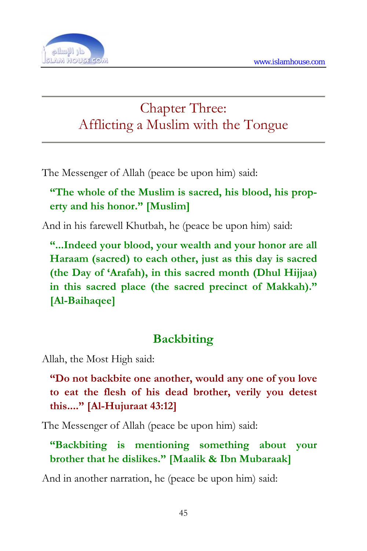

# Chapter Three: Afflicting a Muslim with the Tongue

The Messenger of Allah (peace be upon him) said:

**"The whole of the Muslim is sacred, his blood, his property and his honor." [Muslim]** 

And in his farewell Khutbah, he (peace be upon him) said:

**"...Indeed your blood, your wealth and your honor are all Haraam (sacred) to each other, just as this day is sacred (the Day of 'Arafah), in this sacred month (Dhul Hijjaa) in this sacred place (the sacred precinct of Makkah)." [Al-Baihaqee]** 

## **Backbiting**

Allah, the Most High said:

**"Do not backbite one another, would any one of you love to eat the flesh of his dead brother, verily you detest this...." [Al-Hujuraat 43:12]** 

The Messenger of Allah (peace be upon him) said:

**"Backbiting is mentioning something about your brother that he dislikes." [Maalik & Ibn Mubaraak]** 

And in another narration, he (peace be upon him) said: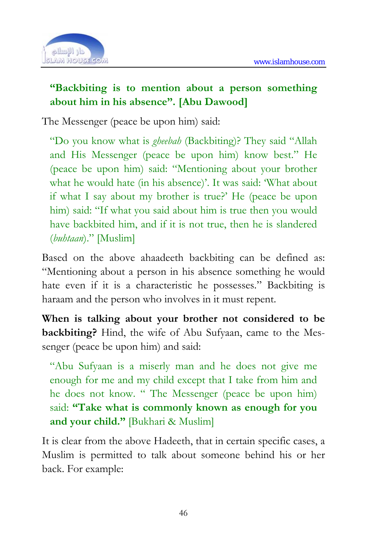

#### **"Backbiting is to mention about a person something about him in his absence". [Abu Dawood]**

The Messenger (peace be upon him) said:

"Do you know what is *gheebah* (Backbiting)? They said "Allah and His Messenger (peace be upon him) know best." He (peace be upon him) said: "Mentioning about your brother what he would hate (in his absence)'. It was said: 'What about if what I say about my brother is true?' He (peace be upon him) said: "If what you said about him is true then you would have backbited him, and if it is not true, then he is slandered (*buhtaan*)." [Muslim]

Based on the above ahaadeeth backbiting can be defined as: "Mentioning about a person in his absence something he would hate even if it is a characteristic he possesses." Backbiting is haraam and the person who involves in it must repent.

**When is talking about your brother not considered to be backbiting?** Hind, the wife of Abu Sufyaan, came to the Messenger (peace be upon him) and said:

"Abu Sufyaan is a miserly man and he does not give me enough for me and my child except that I take from him and he does not know. " The Messenger (peace be upon him) said: **"Take what is commonly known as enough for you and your child."** [Bukhari & Muslim]

It is clear from the above Hadeeth, that in certain specific cases, a Muslim is permitted to talk about someone behind his or her back. For example: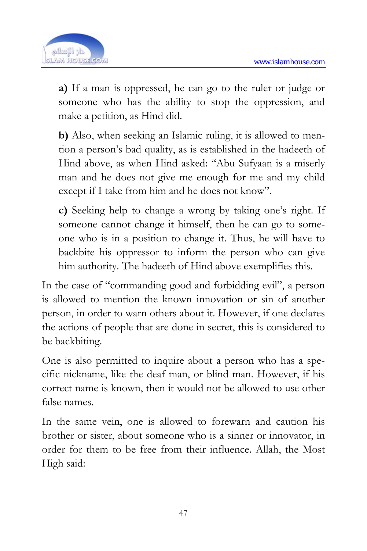

**a)** If a man is oppressed, he can go to the ruler or judge or someone who has the ability to stop the oppression, and make a petition, as Hind did.

**b)** Also, when seeking an Islamic ruling, it is allowed to mention a person's bad quality, as is established in the hadeeth of Hind above, as when Hind asked: "Abu Sufyaan is a miserly man and he does not give me enough for me and my child except if I take from him and he does not know".

**c)** Seeking help to change a wrong by taking one's right. If someone cannot change it himself, then he can go to someone who is in a position to change it. Thus, he will have to backbite his oppressor to inform the person who can give him authority. The hadeeth of Hind above exemplifies this.

In the case of "commanding good and forbidding evil", a person is allowed to mention the known innovation or sin of another person, in order to warn others about it. However, if one declares the actions of people that are done in secret, this is considered to be backbiting.

One is also permitted to inquire about a person who has a specific nickname, like the deaf man, or blind man. However, if his correct name is known, then it would not be allowed to use other false names.

In the same vein, one is allowed to forewarn and caution his brother or sister, about someone who is a sinner or innovator, in order for them to be free from their influence. Allah, the Most High said: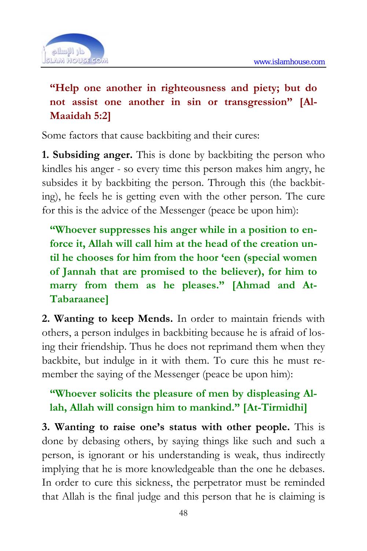

## **"Help one another in righteousness and piety; but do not assist one another in sin or transgression" [Al-Maaidah 5:2]**

Some factors that cause backbiting and their cures:

**1. Subsiding anger.** This is done by backbiting the person who kindles his anger - so every time this person makes him angry, he subsides it by backbiting the person. Through this (the backbiting), he feels he is getting even with the other person. The cure for this is the advice of the Messenger (peace be upon him):

**"Whoever suppresses his anger while in a position to enforce it, Allah will call him at the head of the creation until he chooses for him from the hoor 'een (special women of Jannah that are promised to the believer), for him to marry from them as he pleases." [Ahmad and At-Tabaraanee]** 

**2. Wanting to keep Mends.** In order to maintain friends with others, a person indulges in backbiting because he is afraid of losing their friendship. Thus he does not reprimand them when they backbite, but indulge in it with them. To cure this he must remember the saying of the Messenger (peace be upon him):

#### **"Whoever solicits the pleasure of men by displeasing Allah, Allah will consign him to mankind." [At-Tirmidhi]**

**3. Wanting to raise one's status with other people.** This is done by debasing others, by saying things like such and such a person, is ignorant or his understanding is weak, thus indirectly implying that he is more knowledgeable than the one he debases. In order to cure this sickness, the perpetrator must be reminded that Allah is the final judge and this person that he is claiming is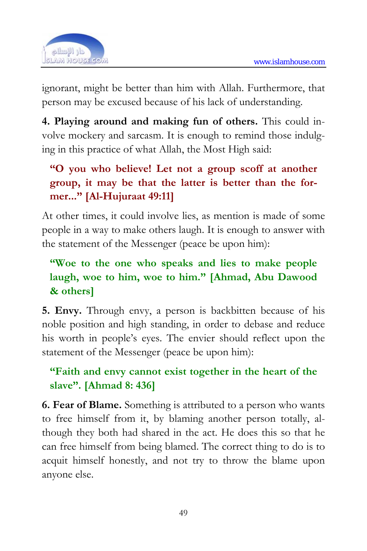

ignorant, might be better than him with Allah. Furthermore, that person may be excused because of his lack of understanding.

**4. Playing around and making fun of others.** This could involve mockery and sarcasm. It is enough to remind those indulging in this practice of what Allah, the Most High said:

## **"O you who believe! Let not a group scoff at another group, it may be that the latter is better than the former..." [Al-Hujuraat 49:11]**

At other times, it could involve lies, as mention is made of some people in a way to make others laugh. It is enough to answer with the statement of the Messenger (peace be upon him):

## **"Woe to the one who speaks and lies to make people laugh, woe to him, woe to him." [Ahmad, Abu Dawood & others]**

**5. Envy.** Through envy, a person is backbitten because of his noble position and high standing, in order to debase and reduce his worth in people's eyes. The envier should reflect upon the statement of the Messenger (peace be upon him):

## **"Faith and envy cannot exist together in the heart of the slave". [Ahmad 8: 436]**

**6. Fear of Blame.** Something is attributed to a person who wants to free himself from it, by blaming another person totally, although they both had shared in the act. He does this so that he can free himself from being blamed. The correct thing to do is to acquit himself honestly, and not try to throw the blame upon anyone else.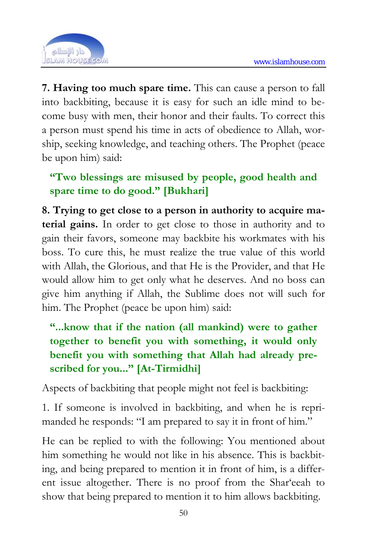

**7. Having too much spare time.** This can cause a person to fall into backbiting, because it is easy for such an idle mind to become busy with men, their honor and their faults. To correct this a person must spend his time in acts of obedience to Allah, worship, seeking knowledge, and teaching others. The Prophet (peace be upon him) said:

## **"Two blessings are misused by people, good health and spare time to do good." [Bukhari]**

**8. Trying to get close to a person in authority to acquire material gains.** In order to get close to those in authority and to gain their favors, someone may backbite his workmates with his boss. To cure this, he must realize the true value of this world with Allah, the Glorious, and that He is the Provider, and that He would allow him to get only what he deserves. And no boss can give him anything if Allah, the Sublime does not will such for him. The Prophet (peace be upon him) said:

## **"...know that if the nation (all mankind) were to gather together to benefit you with something, it would only benefit you with something that Allah had already prescribed for you..." [At-Tirmidhi]**

Aspects of backbiting that people might not feel is backbiting:

1. If someone is involved in backbiting, and when he is reprimanded he responds: "I am prepared to say it in front of him."

He can be replied to with the following: You mentioned about him something he would not like in his absence. This is backbiting, and being prepared to mention it in front of him, is a different issue altogether. There is no proof from the Shar'eeah to show that being prepared to mention it to him allows backbiting.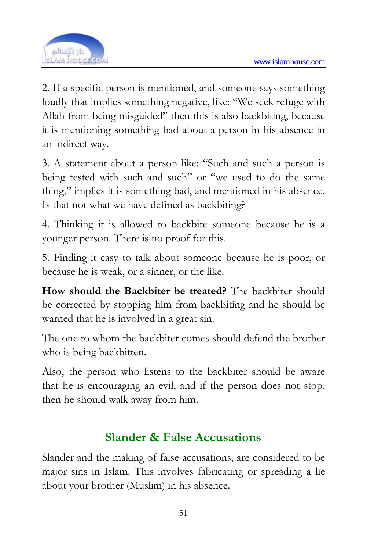

2. If a specific person is mentioned, and someone says something loudly that implies something negative, like: "We seek refuge with Allah from being misguided" then this is also backbiting, because it is mentioning something bad about a person in his absence in an indirect way.

3. A statement about a person like: "Such and such a person is being tested with such and such" or "we used to do the same thing," implies it is something bad, and mentioned in his absence. Is that not what we have defined as backbiting?

4. Thinking it is allowed to backbite someone because he is a younger person. There is no proof for this.

5. Finding it easy to talk about someone because he is poor, or because he is weak, or a sinner, or the like.

**How should the Backbiter be treated?** The backbiter should be corrected by stopping him from backbiting and he should be warned that he is involved in a great sin.

The one to whom the backbiter comes should defend the brother who is being backbitten.

Also, the person who listens to the backbiter should be aware that he is encouraging an evil, and if the person does not stop, then he should walk away from him.

## **Slander & False Accusations**

Slander and the making of false accusations, are considered to be major sins in Islam. This involves fabricating or spreading a lie about your brother (Muslim) in his absence.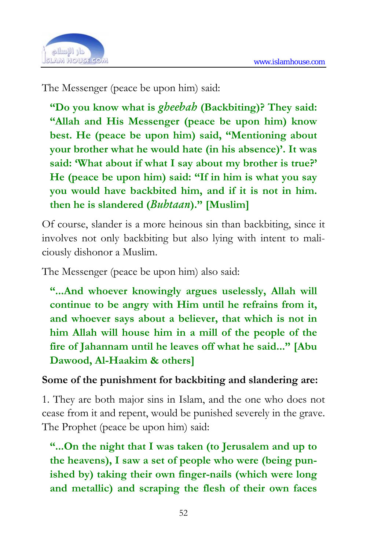

The Messenger (peace be upon him) said:

**"Do you know what is** *gheebah* **(Backbiting)? They said: "Allah and His Messenger (peace be upon him) know best. He (peace be upon him) said, "Mentioning about your brother what he would hate (in his absence)'. It was said: 'What about if what I say about my brother is true?' He (peace be upon him) said: "If in him is what you say you would have backbited him, and if it is not in him. then he is slandered (***Buhtaan***)." [Muslim]** 

Of course, slander is a more heinous sin than backbiting, since it involves not only backbiting but also lying with intent to maliciously dishonor a Muslim.

The Messenger (peace be upon him) also said:

**"...And whoever knowingly argues uselessly, Allah will continue to be angry with Him until he refrains from it, and whoever says about a believer, that which is not in him Allah will house him in a mill of the people of the fire of Jahannam until he leaves off what he said..." [Abu Dawood, Al-Haakim & others]** 

#### **Some of the punishment for backbiting and slandering are:**

1. They are both major sins in Islam, and the one who does not cease from it and repent, would be punished severely in the grave. The Prophet (peace be upon him) said:

**"...On the night that I was taken (to Jerusalem and up to the heavens), I saw a set of people who were (being punished by) taking their own finger-nails (which were long and metallic) and scraping the flesh of their own faces**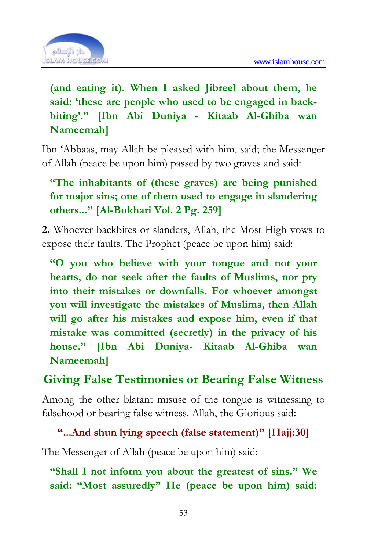

## **(and eating it). When I asked Jibreel about them, he said: 'these are people who used to be engaged in backbiting'." [Ibn Abi Duniya - Kitaab Al-Ghiba wan Nameemah]**

Ibn 'Abbaas, may Allah be pleased with him, said; the Messenger of Allah (peace be upon him) passed by two graves and said:

## **"The inhabitants of (these graves) are being punished for major sins; one of them used to engage in slandering others..." [Al-Bukhari Vol. 2 Pg. 259]**

**2.** Whoever backbites or slanders, Allah, the Most High vows to expose their faults. The Prophet (peace be upon him) said:

**"O you who believe with your tongue and not your hearts, do not seek after the faults of Muslims, nor pry into their mistakes or downfalls. For whoever amongst you will investigate the mistakes of Muslims, then Allah will go after his mistakes and expose him, even if that mistake was committed (secretly) in the privacy of his house." [Ibn Abi Duniya- Kitaab Al-Ghiba wan Nameemah]** 

## **Giving False Testimonies or Bearing False Witness**

Among the other blatant misuse of the tongue is witnessing to falsehood or bearing false witness. Allah, the Glorious said:

#### **"...And shun lying speech (false statement)" [Hajj:30]**

The Messenger of Allah (peace be upon him) said:

**"Shall I not inform you about the greatest of sins." We said: "Most assuredly" He (peace be upon him) said:**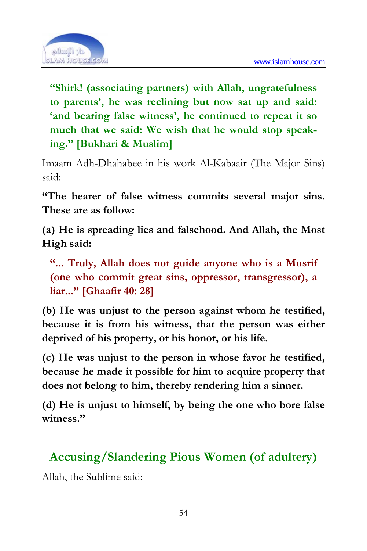

**"Shirk! (associating partners) with Allah, ungratefulness to parents', he was reclining but now sat up and said: 'and bearing false witness', he continued to repeat it so much that we said: We wish that he would stop speaking." [Bukhari & Muslim]** 

Imaam Adh-Dhahabee in his work Al-Kabaair (The Major Sins) said:

**"The bearer of false witness commits several major sins. These are as follow:** 

**(a) He is spreading lies and falsehood. And Allah, the Most High said:** 

**"... Truly, Allah does not guide anyone who is a Musrif (one who commit great sins, oppressor, transgressor), a liar..." [Ghaafir 40: 28]** 

**(b) He was unjust to the person against whom he testified, because it is from his witness, that the person was either deprived of his property, or his honor, or his life.** 

**(c) He was unjust to the person in whose favor he testified, because he made it possible for him to acquire property that does not belong to him, thereby rendering him a sinner.** 

**(d) He is unjust to himself, by being the one who bore false witness."** 

## **Accusing/Slandering Pious Women (of adultery)**

Allah, the Sublime said: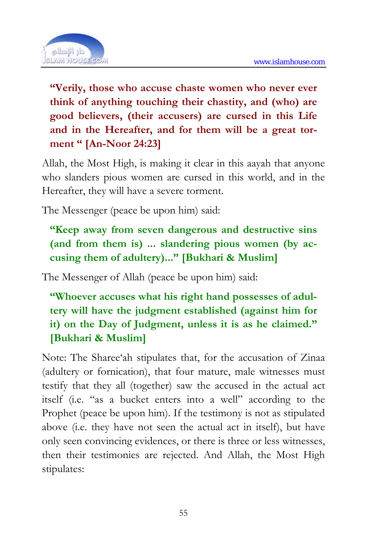

**"Verily, those who accuse chaste women who never ever think of anything touching their chastity, and (who) are good believers, (their accusers) are cursed in this Life and in the Hereafter, and for them will be a great torment " [An-Noor 24:23]** 

Allah, the Most High, is making it clear in this aayah that anyone who slanders pious women are cursed in this world, and in the Hereafter, they will have a severe torment.

The Messenger (peace be upon him) said:

**"Keep away from seven dangerous and destructive sins (and from them is) ... slandering pious women (by accusing them of adultery)..." [Bukhari & Muslim]** 

The Messenger of Allah (peace be upon him) said:

**"Whoever accuses what his right hand possesses of adultery will have the judgment established (against him for it) on the Day of Judgment, unless it is as he claimed." [Bukhari & Muslim]** 

Note: The Sharee'ah stipulates that, for the accusation of Zinaa (adultery or fornication), that four mature, male witnesses must testify that they all (together) saw the accused in the actual act itself (i.e. "as a bucket enters into a well" according to the Prophet (peace be upon him). If the testimony is not as stipulated above (i.e. they have not seen the actual act in itself), but have only seen convincing evidences, or there is three or less witnesses, then their testimonies are rejected. And Allah, the Most High stipulates: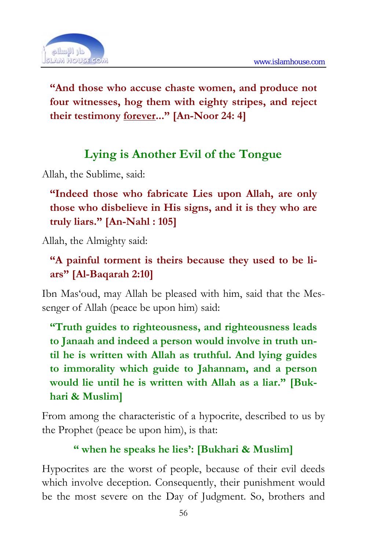

**"And those who accuse chaste women, and produce not four witnesses, hog them with eighty stripes, and reject their testimony forever..." [An-Noor 24: 4]** 

## **Lying is Another Evil of the Tongue**

Allah, the Sublime, said:

**"Indeed those who fabricate Lies upon Allah, are only those who disbelieve in His signs, and it is they who are truly liars." [An-Nahl : 105]** 

Allah, the Almighty said:

### **"A painful torment is theirs because they used to be liars" [Al-Baqarah 2:10]**

Ibn Mas'oud, may Allah be pleased with him, said that the Messenger of Allah (peace be upon him) said:

**"Truth guides to righteousness, and righteousness leads to Janaah and indeed a person would involve in truth until he is written with Allah as truthful. And lying guides to immorality which guide to Jahannam, and a person would lie until he is written with Allah as a liar." [Bukhari & Muslim]** 

From among the characteristic of a hypocrite, described to us by the Prophet (peace be upon him), is that:

#### **" when he speaks he lies': [Bukhari & Muslim]**

Hypocrites are the worst of people, because of their evil deeds which involve deception. Consequently, their punishment would be the most severe on the Day of Judgment. So, brothers and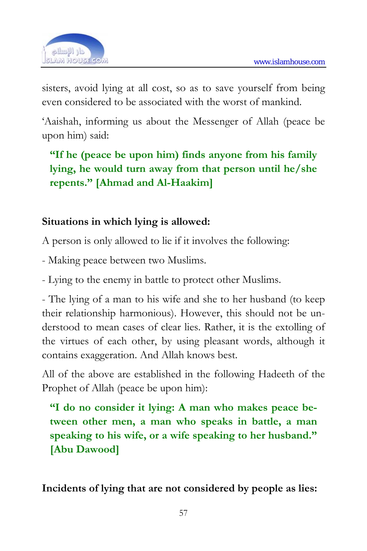

sisters, avoid lying at all cost, so as to save yourself from being even considered to be associated with the worst of mankind.

'Aaishah, informing us about the Messenger of Allah (peace be upon him) said:

**"If he (peace be upon him) finds anyone from his family lying, he would turn away from that person until he/she repents." [Ahmad and Al-Haakim]** 

#### **Situations in which lying is allowed:**

A person is only allowed to lie if it involves the following:

- Making peace between two Muslims.

- Lying to the enemy in battle to protect other Muslims.

- The lying of a man to his wife and she to her husband (to keep their relationship harmonious). However, this should not be understood to mean cases of clear lies. Rather, it is the extolling of the virtues of each other, by using pleasant words, although it contains exaggeration. And Allah knows best.

All of the above are established in the following Hadeeth of the Prophet of Allah (peace be upon him):

**"I do no consider it lying: A man who makes peace between other men, a man who speaks in battle, a man speaking to his wife, or a wife speaking to her husband." [Abu Dawood]** 

**Incidents of lying that are not considered by people as lies:**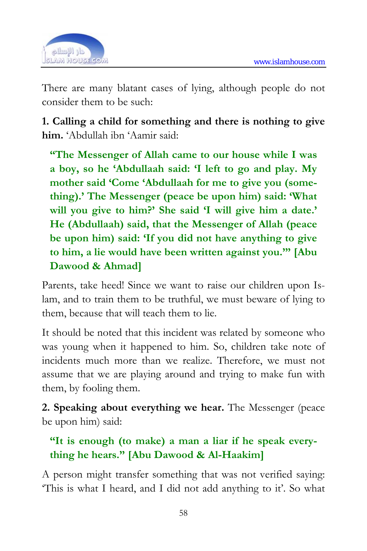

There are many blatant cases of lying, although people do not consider them to be such:

**1. Calling a child for something and there is nothing to give him.** 'Abdullah ibn 'Aamir said:

**"The Messenger of Allah came to our house while I was a boy, so he 'Abdullaah said: 'I left to go and play. My mother said 'Come 'Abdullaah for me to give you (something).' The Messenger (peace be upon him) said: 'What will you give to him?' She said 'I will give him a date.' He (Abdullaah) said, that the Messenger of Allah (peace be upon him) said: 'If you did not have anything to give to him, a lie would have been written against you.'" [Abu Dawood & Ahmad]** 

Parents, take heed! Since we want to raise our children upon Islam, and to train them to be truthful, we must beware of lying to them, because that will teach them to lie.

It should be noted that this incident was related by someone who was young when it happened to him. So, children take note of incidents much more than we realize. Therefore, we must not assume that we are playing around and trying to make fun with them, by fooling them.

**2. Speaking about everything we hear.** The Messenger (peace be upon him) said:

#### **"It is enough (to make) a man a liar if he speak everything he hears." [Abu Dawood & Al-Haakim]**

A person might transfer something that was not verified saying: 'This is what I heard, and I did not add anything to it'. So what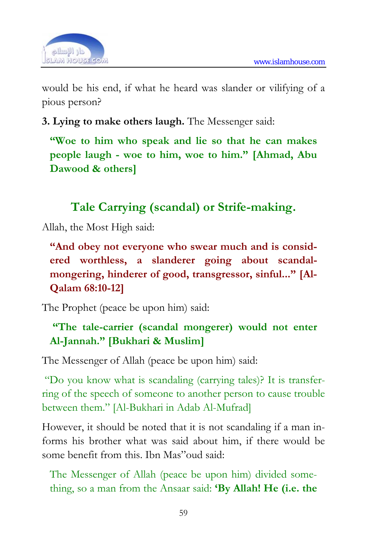

would be his end, if what he heard was slander or vilifying of a pious person?

**3. Lying to make others laugh.** The Messenger said:

**"Woe to him who speak and lie so that he can makes people laugh - woe to him, woe to him." [Ahmad, Abu Dawood & others]** 

# **Tale Carrying (scandal) or Strife-making.**

Allah, the Most High said:

**"And obey not everyone who swear much and is considered worthless, a slanderer going about scandalmongering, hinderer of good, transgressor, sinful..." [Al-Qalam 68:10-12]** 

The Prophet (peace be upon him) said:

## **"The tale-carrier (scandal mongerer) would not enter Al-Jannah." [Bukhari & Muslim]**

The Messenger of Allah (peace be upon him) said:

"Do you know what is scandaling (carrying tales)? It is transferring of the speech of someone to another person to cause trouble between them." [Al-Bukhari in Adab Al-Mufrad]

However, it should be noted that it is not scandaling if a man informs his brother what was said about him, if there would be some benefit from this. Ibn Mas"oud said:

The Messenger of Allah (peace be upon him) divided something, so a man from the Ansaar said: **'By Allah! He (i.e. the**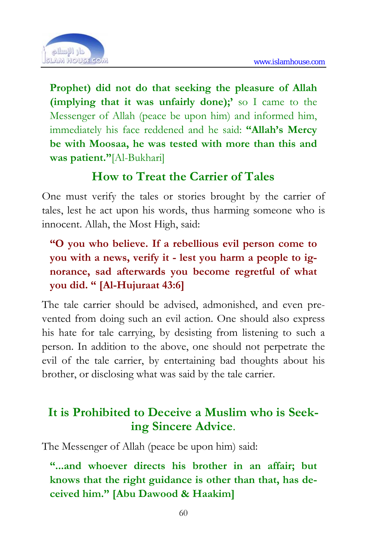

**Prophet) did not do that seeking the pleasure of Allah (implying that it was unfairly done);'** so I came to the Messenger of Allah (peace be upon him) and informed him, immediately his face reddened and he said: **"Allah's Mercy be with Moosaa, he was tested with more than this and was patient."**[Al-Bukhari]

## **How to Treat the Carrier of Tales**

One must verify the tales or stories brought by the carrier of tales, lest he act upon his words, thus harming someone who is innocent. Allah, the Most High, said:

**"O you who believe. If a rebellious evil person come to you with a news, verify it - lest you harm a people to ignorance, sad afterwards you become regretful of what you did. " [Al-Hujuraat 43:6]** 

The tale carrier should be advised, admonished, and even prevented from doing such an evil action. One should also express his hate for tale carrying, by desisting from listening to such a person. In addition to the above, one should not perpetrate the evil of the tale carrier, by entertaining bad thoughts about his brother, or disclosing what was said by the tale carrier.

## **It is Prohibited to Deceive a Muslim who is Seeking Sincere Advice**.

The Messenger of Allah (peace be upon him) said:

**"...and whoever directs his brother in an affair; but knows that the right guidance is other than that, has deceived him." [Abu Dawood & Haakim]**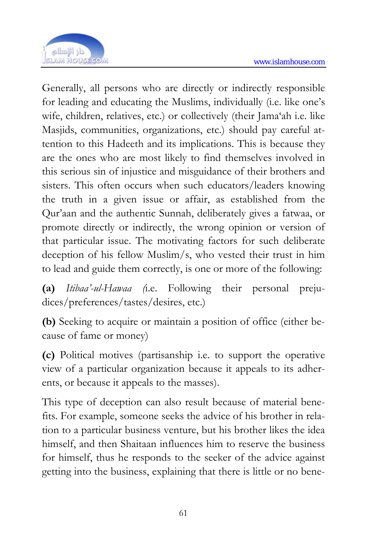

Generally, all persons who are directly or indirectly responsible for leading and educating the Muslims, individually (i.e. like one's wife, children, relatives, etc.) or collectively (their Jama'ah i.e. like Masjids, communities, organizations, etc.) should pay careful attention to this Hadeeth and its implications. This is because they are the ones who are most likely to find themselves involved in this serious sin of injustice and misguidance of their brothers and sisters. This often occurs when such educators/leaders knowing the truth in a given issue or affair, as established from the Qur'aan and the authentic Sunnah, deliberately gives a fatwaa, or promote directly or indirectly, the wrong opinion or version of that particular issue. The motivating factors for such deliberate deception of his fellow Muslim/s, who vested their trust in him to lead and guide them correctly, is one or more of the following:

**(a)** *Itibaa'-ul-Hawaa (*i.e. Following their personal prejudices/preferences/tastes/desires, etc.)

**(b)** Seeking to acquire or maintain a position of office (either because of fame or money)

**(c)** Political motives (partisanship i.e. to support the operative view of a particular organization because it appeals to its adherents, or because it appeals to the masses).

This type of deception can also result because of material benefits. For example, someone seeks the advice of his brother in relation to a particular business venture, but his brother likes the idea himself, and then Shaitaan influences him to reserve the business for himself, thus he responds to the seeker of the advice against getting into the business, explaining that there is little or no bene-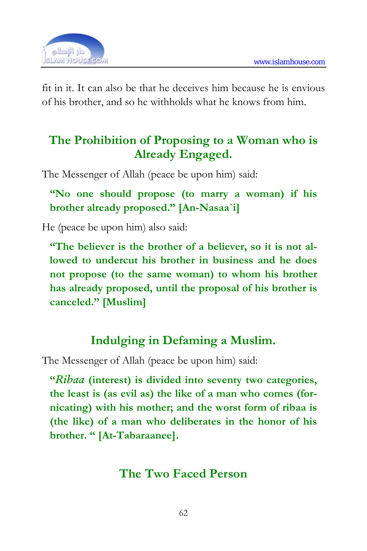

fit in it. It can also be that he deceives him because he is envious of his brother, and so he withholds what he knows from him.

## **The Prohibition of Proposing to a Woman who is Already Engaged.**

The Messenger of Allah (peace be upon him) said:

**"No one should propose (to marry a woman) if his brother already proposed." [An-Nasaa`i]** 

He (peace be upon him) also said:

**"The believer is the brother of a believer, so it is not allowed to undercut his brother in business and he does not propose (to the same woman) to whom his brother has already proposed, until the proposal of his brother is canceled." [Muslim]** 

## **Indulging in Defaming a Muslim.**

The Messenger of Allah (peace be upon him) said:

**"***Ribaa* **(interest) is divided into seventy two categories, the least is (as evil as) the like of a man who comes (fornicating) with his mother; and the worst form of ribaa is (the like) of a man who deliberates in the honor of his brother. " [At-Tabaraanee].** 

## **The Two Faced Person**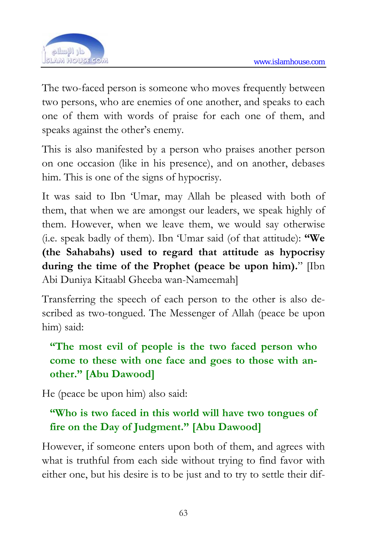

The two-faced person is someone who moves frequently between two persons, who are enemies of one another, and speaks to each one of them with words of praise for each one of them, and speaks against the other's enemy.

This is also manifested by a person who praises another person on one occasion (like in his presence), and on another, debases him. This is one of the signs of hypocrisy.

It was said to Ibn 'Umar, may Allah be pleased with both of them, that when we are amongst our leaders, we speak highly of them. However, when we leave them, we would say otherwise (i.e. speak badly of them). Ibn 'Umar said (of that attitude): **"We (the Sahabahs) used to regard that attitude as hypocrisy during the time of the Prophet (peace be upon him).**" [Ibn Abi Duniya Kitaabl Gheeba wan-Nameemah]

Transferring the speech of each person to the other is also described as two-tongued. The Messenger of Allah (peace be upon him) said:

## **"The most evil of people is the two faced person who come to these with one face and goes to those with another." [Abu Dawood]**

He (peace be upon him) also said:

## **"Who is two faced in this world will have two tongues of fire on the Day of Judgment." [Abu Dawood]**

However, if someone enters upon both of them, and agrees with what is truthful from each side without trying to find favor with either one, but his desire is to be just and to try to settle their dif-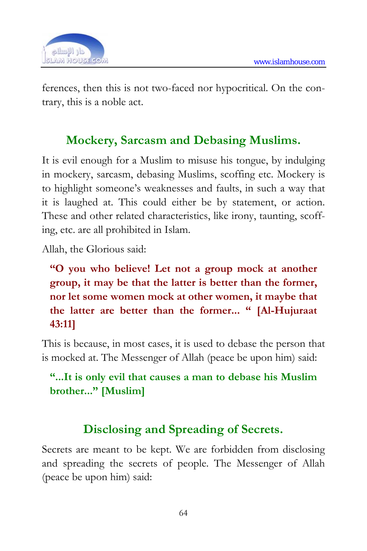

ferences, then this is not two-faced nor hypocritical. On the contrary, this is a noble act.

## **Mockery, Sarcasm and Debasing Muslims.**

It is evil enough for a Muslim to misuse his tongue, by indulging in mockery, sarcasm, debasing Muslims, scoffing etc. Mockery is to highlight someone's weaknesses and faults, in such a way that it is laughed at. This could either be by statement, or action. These and other related characteristics, like irony, taunting, scoffing, etc. are all prohibited in Islam.

Allah, the Glorious said:

**"O you who believe! Let not a group mock at another group, it may be that the latter is better than the former, nor let some women mock at other women, it maybe that the latter are better than the former... " [Al-Hujuraat 43:11]** 

This is because, in most cases, it is used to debase the person that is mocked at. The Messenger of Allah (peace be upon him) said:

## **"...It is only evil that causes a man to debase his Muslim brother..." [Muslim]**

## **Disclosing and Spreading of Secrets.**

Secrets are meant to be kept. We are forbidden from disclosing and spreading the secrets of people. The Messenger of Allah (peace be upon him) said: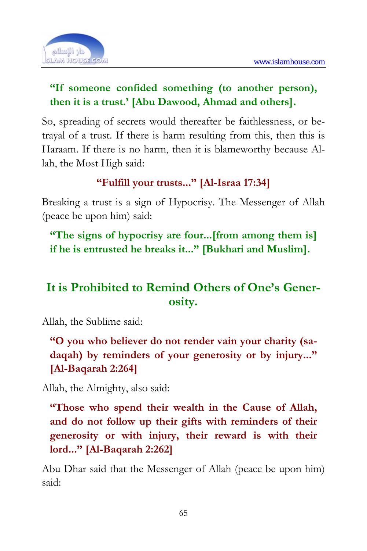

#### **"If someone confided something (to another person), then it is a trust.' [Abu Dawood, Ahmad and others].**

So, spreading of secrets would thereafter be faithlessness, or betrayal of a trust. If there is harm resulting from this, then this is Haraam. If there is no harm, then it is blameworthy because Allah, the Most High said:

#### **"Fulfill your trusts..." [Al-Israa 17:34]**

Breaking a trust is a sign of Hypocrisy. The Messenger of Allah (peace be upon him) said:

**"The signs of hypocrisy are four...[from among them is] if he is entrusted he breaks it..." [Bukhari and Muslim].** 

## **It is Prohibited to Remind Others of One's Generosity.**

Allah, the Sublime said:

**"O you who believer do not render vain your charity (sadaqah) by reminders of your generosity or by injury..." [Al-Baqarah 2:264]** 

Allah, the Almighty, also said:

**"Those who spend their wealth in the Cause of Allah, and do not follow up their gifts with reminders of their generosity or with injury, their reward is with their lord..." [Al-Baqarah 2:262]** 

Abu Dhar said that the Messenger of Allah (peace be upon him) said: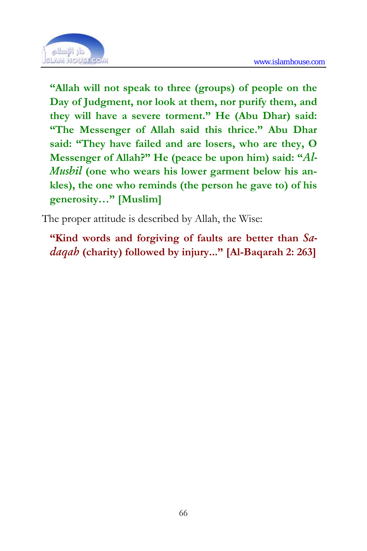

**"Allah will not speak to three (groups) of people on the Day of Judgment, nor look at them, nor purify them, and they will have a severe torment." He (Abu Dhar) said: "The Messenger of Allah said this thrice." Abu Dhar said: "They have failed and are losers, who are they, O Messenger of Allah?" He (peace be upon him) said: "***Al-Musbil* **(one who wears his lower garment below his ankles), the one who reminds (the person he gave to) of his generosity…" [Muslim]** 

The proper attitude is described by Allah, the Wise:

**"Kind words and forgiving of faults are better than** *Sadaqah* **(charity) followed by injury..." [Al-Baqarah 2: 263]**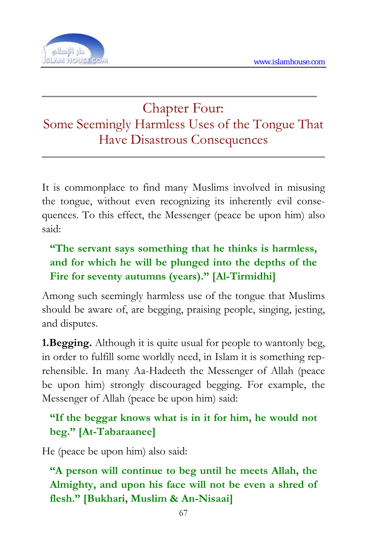

# Chapter Four: Some Seemingly Harmless Uses of the Tongue That Have Disastrous Consequences

It is commonplace to find many Muslims involved in misusing the tongue, without even recognizing its inherently evil consequences. To this effect, the Messenger (peace be upon him) also said:

## **"The servant says something that he thinks is harmless, and for which he will be plunged into the depths of the Fire for seventy autumns (years)." [Al-Tirmidhi]**

Among such seemingly harmless use of the tongue that Muslims should be aware of, are begging, praising people, singing, jesting, and disputes.

**1.Begging.** Although it is quite usual for people to wantonly beg, in order to fulfill some worldly need, in Islam it is something reprehensible. In many Aa-Hadeeth the Messenger of Allah (peace be upon him) strongly discouraged begging. For example, the Messenger of Allah (peace be upon him) said:

## **"If the beggar knows what is in it for him, he would not beg." [At-Tabaraanee]**

He (peace be upon him) also said:

**"A person will continue to beg until he meets Allah, the Almighty, and upon his face will not be even a shred of flesh." [Bukhari, Muslim & An-Nisaai]**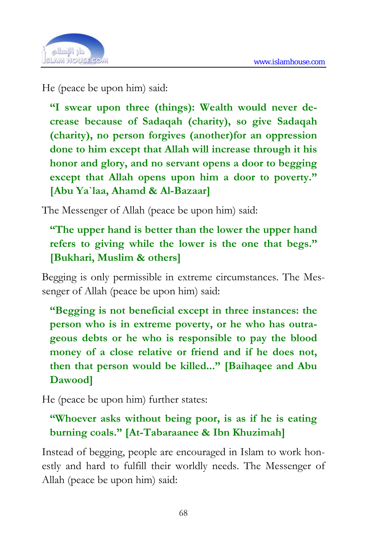

He (peace be upon him) said:

**"I swear upon three (things): Wealth would never decrease because of Sadaqah (charity), so give Sadaqah (charity), no person forgives (another)for an oppression done to him except that Allah will increase through it his honor and glory, and no servant opens a door to begging except that Allah opens upon him a door to poverty." [Abu Ya`laa, Ahamd & Al-Bazaar]** 

The Messenger of Allah (peace be upon him) said:

## **"The upper hand is better than the lower the upper hand refers to giving while the lower is the one that begs." [Bukhari, Muslim & others]**

Begging is only permissible in extreme circumstances. The Messenger of Allah (peace be upon him) said:

**"Begging is not beneficial except in three instances: the person who is in extreme poverty, or he who has outrageous debts or he who is responsible to pay the blood money of a close relative or friend and if he does not, then that person would be killed..." [Baihaqee and Abu Dawood]** 

He (peace be upon him) further states:

#### **"Whoever asks without being poor, is as if he is eating burning coals." [At-Tabaraanee & Ibn Khuzimah]**

Instead of begging, people are encouraged in Islam to work honestly and hard to fulfill their worldly needs. The Messenger of Allah (peace be upon him) said: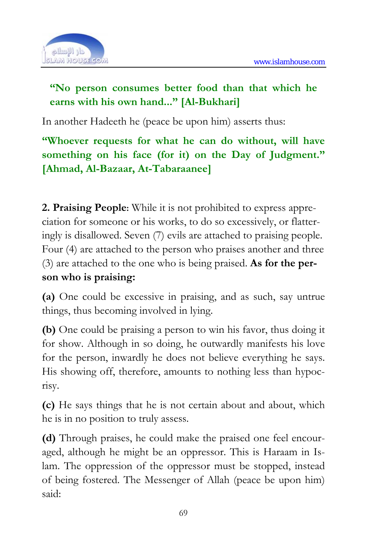

### **"No person consumes better food than that which he earns with his own hand..." [Al-Bukhari]**

In another Hadeeth he (peace be upon him) asserts thus:

## **"Whoever requests for what he can do without, will have something on his face (for it) on the Day of Judgment." [Ahmad, Al-Bazaar, At-Tabaraanee]**

**2. Praising People:** While it is not prohibited to express appreciation for someone or his works, to do so excessively, or flatteringly is disallowed. Seven (7) evils are attached to praising people. Four (4) are attached to the person who praises another and three (3) are attached to the one who is being praised. **As for the person who is praising:** 

**(a)** One could be excessive in praising, and as such, say untrue things, thus becoming involved in lying.

**(b)** One could be praising a person to win his favor, thus doing it for show. Although in so doing, he outwardly manifests his love for the person, inwardly he does not believe everything he says. His showing off, therefore, amounts to nothing less than hypocrisy.

**(c)** He says things that he is not certain about and about, which he is in no position to truly assess.

**(d)** Through praises, he could make the praised one feel encouraged, although he might be an oppressor. This is Haraam in Islam. The oppression of the oppressor must be stopped, instead of being fostered. The Messenger of Allah (peace be upon him) said: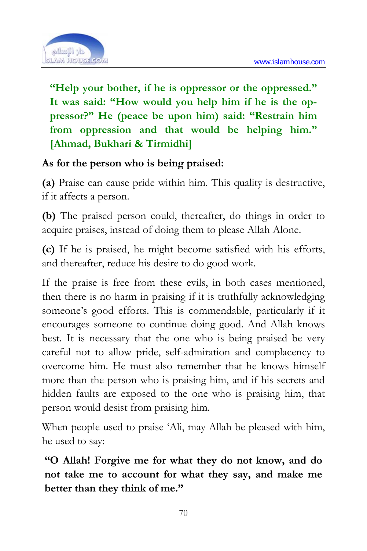

**"Help your bother, if he is oppressor or the oppressed." It was said: "How would you help him if he is the oppressor?" He (peace be upon him) said: "Restrain him from oppression and that would be helping him." [Ahmad, Bukhari & Tirmidhi]** 

#### **As for the person who is being praised:**

**(a)** Praise can cause pride within him. This quality is destructive, if it affects a person.

**(b)** The praised person could, thereafter, do things in order to acquire praises, instead of doing them to please Allah Alone.

**(c)** If he is praised, he might become satisfied with his efforts, and thereafter, reduce his desire to do good work.

If the praise is free from these evils, in both cases mentioned, then there is no harm in praising if it is truthfully acknowledging someone's good efforts. This is commendable, particularly if it encourages someone to continue doing good. And Allah knows best. It is necessary that the one who is being praised be very careful not to allow pride, self-admiration and complacency to overcome him. He must also remember that he knows himself more than the person who is praising him, and if his secrets and hidden faults are exposed to the one who is praising him, that person would desist from praising him.

When people used to praise 'Ali, may Allah be pleased with him, he used to say:

**"O Allah! Forgive me for what they do not know, and do not take me to account for what they say, and make me better than they think of me."**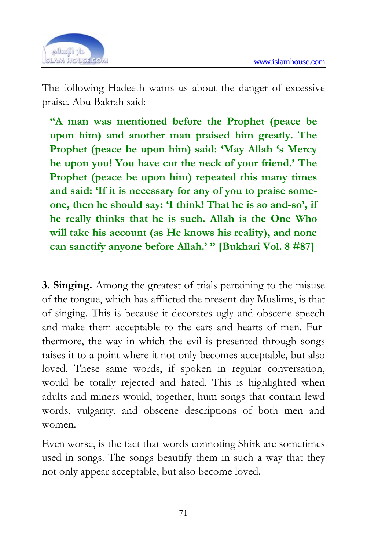

The following Hadeeth warns us about the danger of excessive praise. Abu Bakrah said:

**"A man was mentioned before the Prophet (peace be upon him) and another man praised him greatly. The Prophet (peace be upon him) said: 'May Allah 's Mercy be upon you! You have cut the neck of your friend.' The Prophet (peace be upon him) repeated this many times and said: 'If it is necessary for any of you to praise someone, then he should say: 'I think! That he is so and-so', if he really thinks that he is such. Allah is the One Who will take his account (as He knows his reality), and none can sanctify anyone before Allah.' " [Bukhari Vol. 8 #87]** 

**3. Singing.** Among the greatest of trials pertaining to the misuse of the tongue, which has afflicted the present-day Muslims, is that of singing. This is because it decorates ugly and obscene speech and make them acceptable to the ears and hearts of men. Furthermore, the way in which the evil is presented through songs raises it to a point where it not only becomes acceptable, but also loved. These same words, if spoken in regular conversation, would be totally rejected and hated. This is highlighted when adults and miners would, together, hum songs that contain lewd words, vulgarity, and obscene descriptions of both men and women.

Even worse, is the fact that words connoting Shirk are sometimes used in songs. The songs beautify them in such a way that they not only appear acceptable, but also become loved.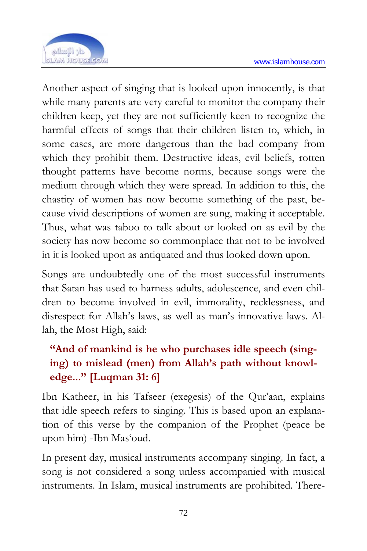

Another aspect of singing that is looked upon innocently, is that while many parents are very careful to monitor the company their children keep, yet they are not sufficiently keen to recognize the harmful effects of songs that their children listen to, which, in some cases, are more dangerous than the bad company from which they prohibit them. Destructive ideas, evil beliefs, rotten thought patterns have become norms, because songs were the medium through which they were spread. In addition to this, the chastity of women has now become something of the past, because vivid descriptions of women are sung, making it acceptable. Thus, what was taboo to talk about or looked on as evil by the society has now become so commonplace that not to be involved in it is looked upon as antiquated and thus looked down upon.

Songs are undoubtedly one of the most successful instruments that Satan has used to harness adults, adolescence, and even children to become involved in evil, immorality, recklessness, and disrespect for Allah's laws, as well as man's innovative laws. Allah, the Most High, said:

## **"And of mankind is he who purchases idle speech (singing) to mislead (men) from Allah's path without knowledge..." [Luqman 31: 6]**

Ibn Katheer, in his Tafseer (exegesis) of the Qur'aan, explains that idle speech refers to singing. This is based upon an explanation of this verse by the companion of the Prophet (peace be upon him) -Ibn Mas'oud.

In present day, musical instruments accompany singing. In fact, a song is not considered a song unless accompanied with musical instruments. In Islam, musical instruments are prohibited. There-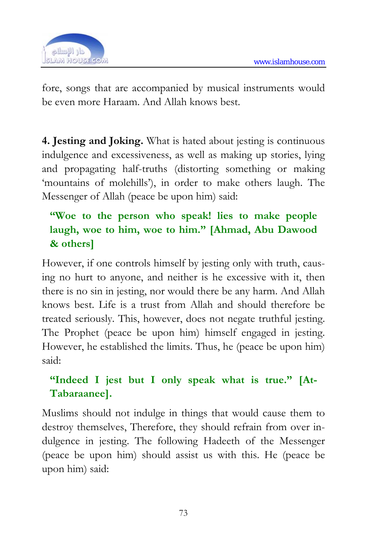

fore, songs that are accompanied by musical instruments would be even more Haraam. And Allah knows best.

**4. Jesting and Joking.** What is hated about jesting is continuous indulgence and excessiveness, as well as making up stories, lying and propagating half-truths (distorting something or making 'mountains of molehills'), in order to make others laugh. The Messenger of Allah (peace be upon him) said:

## **"Woe to the person who speak! lies to make people laugh, woe to him, woe to him." [Ahmad, Abu Dawood & others]**

However, if one controls himself by jesting only with truth, causing no hurt to anyone, and neither is he excessive with it, then there is no sin in jesting, nor would there be any harm. And Allah knows best. Life is a trust from Allah and should therefore be treated seriously. This, however, does not negate truthful jesting. The Prophet (peace be upon him) himself engaged in jesting. However, he established the limits. Thus, he (peace be upon him) said:

## **"Indeed I jest but I only speak what is true." [At-Tabaraanee].**

Muslims should not indulge in things that would cause them to destroy themselves, Therefore, they should refrain from over indulgence in jesting. The following Hadeeth of the Messenger (peace be upon him) should assist us with this. He (peace be upon him) said: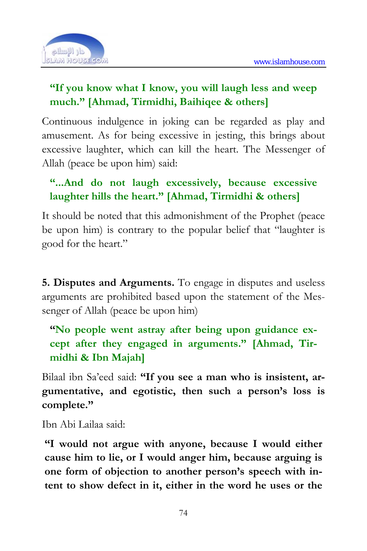

#### **"If you know what I know, you will laugh less and weep much." [Ahmad, Tirmidhi, Baihiqee & others]**

Continuous indulgence in joking can be regarded as play and amusement. As for being excessive in jesting, this brings about excessive laughter, which can kill the heart. The Messenger of Allah (peace be upon him) said:

### **"...And do not laugh excessively, because excessive laughter hills the heart." [Ahmad, Tirmidhi & others]**

It should be noted that this admonishment of the Prophet (peace be upon him) is contrary to the popular belief that "laughter is good for the heart."

**5. Disputes and Arguments.** To engage in disputes and useless arguments are prohibited based upon the statement of the Messenger of Allah (peace be upon him)

#### **"No people went astray after being upon guidance except after they engaged in arguments." [Ahmad, Tirmidhi & Ibn Majah]**

Bilaal ibn Sa'eed said: **"If you see a man who is insistent, argumentative, and egotistic, then such a person's loss is complete."** 

Ibn Abi Lailaa said:

**"I would not argue with anyone, because I would either cause him to lie, or I would anger him, because arguing is one form of objection to another person's speech with intent to show defect in it, either in the word he uses or the**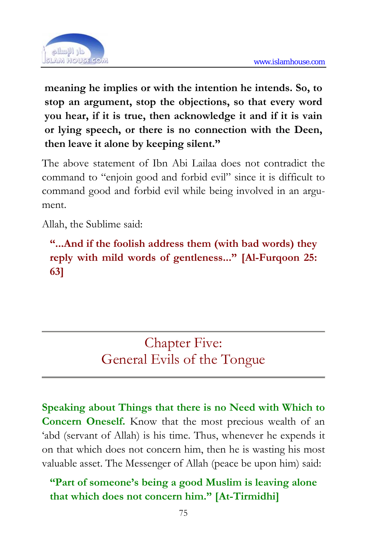

**meaning he implies or with the intention he intends. So, to stop an argument, stop the objections, so that every word you hear, if it is true, then acknowledge it and if it is vain or lying speech, or there is no connection with the Deen, then leave it alone by keeping silent."** 

The above statement of Ibn Abi Lailaa does not contradict the command to "enjoin good and forbid evil" since it is difficult to command good and forbid evil while being involved in an argument.

Allah, the Sublime said:

**"...And if the foolish address them (with bad words) they reply with mild words of gentleness..." [Al-Furqoon 25: 63]** 

## Chapter Five: General Evils of the Tongue

**Speaking about Things that there is no Need with Which to Concern Oneself.** Know that the most precious wealth of an 'abd (servant of Allah) is his time. Thus, whenever he expends it on that which does not concern him, then he is wasting his most valuable asset. The Messenger of Allah (peace be upon him) said:

**"Part of someone's being a good Muslim is leaving alone that which does not concern him." [At-Tirmidhi]**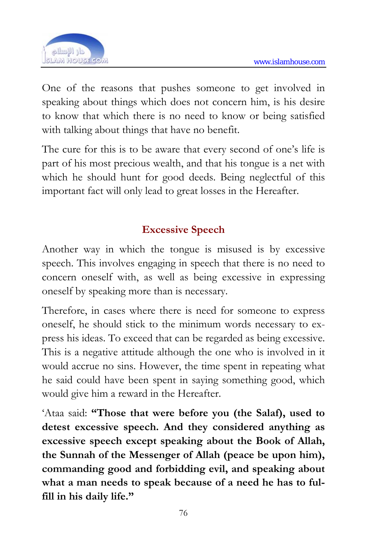

One of the reasons that pushes someone to get involved in speaking about things which does not concern him, is his desire to know that which there is no need to know or being satisfied with talking about things that have no benefit.

The cure for this is to be aware that every second of one's life is part of his most precious wealth, and that his tongue is a net with which he should hunt for good deeds. Being neglectful of this important fact will only lead to great losses in the Hereafter.

### **Excessive Speech**

Another way in which the tongue is misused is by excessive speech. This involves engaging in speech that there is no need to concern oneself with, as well as being excessive in expressing oneself by speaking more than is necessary.

Therefore, in cases where there is need for someone to express oneself, he should stick to the minimum words necessary to express his ideas. To exceed that can be regarded as being excessive. This is a negative attitude although the one who is involved in it would accrue no sins. However, the time spent in repeating what he said could have been spent in saying something good, which would give him a reward in the Hereafter.

'Ataa said: **"Those that were before you (the Salaf), used to detest excessive speech. And they considered anything as excessive speech except speaking about the Book of Allah, the Sunnah of the Messenger of Allah (peace be upon him), commanding good and forbidding evil, and speaking about what a man needs to speak because of a need he has to fulfill in his daily life."**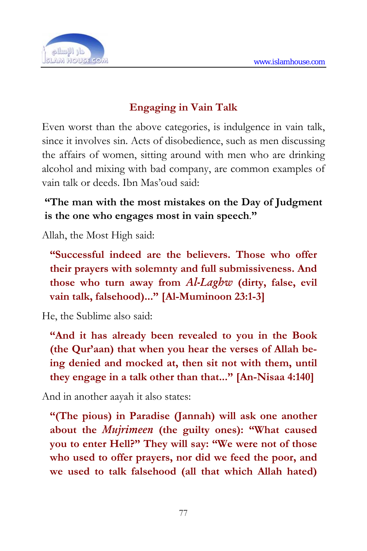

### **Engaging in Vain Talk**

Even worst than the above categories, is indulgence in vain talk, since it involves sin. Acts of disobedience, such as men discussing the affairs of women, sitting around with men who are drinking alcohol and mixing with bad company, are common examples of vain talk or deeds. Ibn Mas'oud said:

**"The man with the most mistakes on the Day of Judgment is the one who engages most in vain speech**.**"**

Allah, the Most High said:

**"Successful indeed are the believers. Those who offer their prayers with solemnty and full submissiveness. And those who turn away from** *Al-Laghw* **(dirty, false, evil vain talk, falsehood)..." [Al-Muminoon 23:1-3]** 

He, the Sublime also said:

**"And it has already been revealed to you in the Book (the Qur'aan) that when you hear the verses of Allah being denied and mocked at, then sit not with them, until they engage in a talk other than that..." [An-Nisaa 4:140]** 

And in another aayah it also states:

**"(The pious) in Paradise (Jannah) will ask one another about the** *Mujrimeen* **(the guilty ones): "What caused you to enter Hell?" They will say: "We were not of those who used to offer prayers, nor did we feed the poor, and we used to talk falsehood (all that which Allah hated)**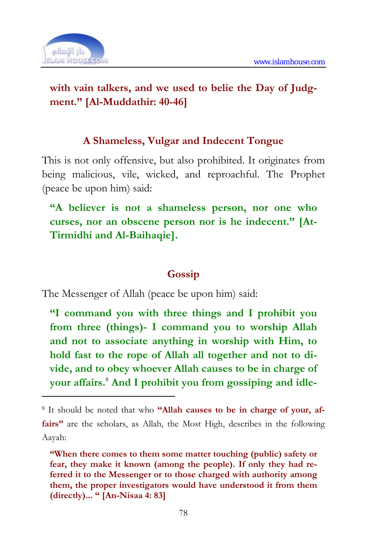

1

**with vain talkers, and we used to belie the Day of Judgment." [Al-Muddathir: 40-46]** 

#### **A Shameless, Vulgar and Indecent Tongue**

This is not only offensive, but also prohibited. It originates from being malicious, vile, wicked, and reproachful. The Prophet (peace be upon him) said:

#### **"A believer is not a shameless person, nor one who curses, nor an obscene person nor is he indecent." [At-Tirmidhi and Al-Baihaqie].**

#### **Gossip**

The Messenger of Allah (peace be upon him) said:

**"I command you with three things and I prohibit you from three (things)- I command you to worship Allah and not to associate anything in worship with Him, to hold fast to the rope of Allah all together and not to divide, and to obey whoever Allah causes to be in charge of your affairs.**<sup>8</sup>  **And I prohibit you from gossiping and idle-**

<sup>8</sup> It should be noted that who **"Allah causes to be in charge of your, affairs"** are the scholars, as Allah, the Most High, describes in the following Aayah:

**<sup>&</sup>quot;When there comes to them some matter touching (public) safety or fear, they make it known (among the people). If only they had referred it to the Messenger or to those charged with authority among them, the proper investigators would have understood it from them (directly)... " [An-Nisaa 4: 83]**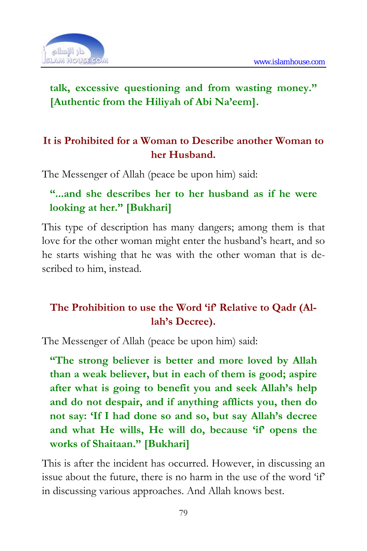

#### **talk, excessive questioning and from wasting money." [Authentic from the Hiliyah of Abi Na'eem].**

#### **It is Prohibited for a Woman to Describe another Woman to her Husband.**

The Messenger of Allah (peace be upon him) said:

#### **"...and she describes her to her husband as if he were looking at her." [Bukhari]**

This type of description has many dangers; among them is that love for the other woman might enter the husband's heart, and so he starts wishing that he was with the other woman that is described to him, instead.

### **The Prohibition to use the Word 'if' Relative to Qadr (Allah's Decree).**

The Messenger of Allah (peace be upon him) said:

**"The strong believer is better and more loved by Allah than a weak believer, but in each of them is good; aspire after what is going to benefit you and seek Allah's help and do not despair, and if anything afflicts you, then do not say: 'If I had done so and so, but say Allah's decree and what He wills, He will do, because 'if' opens the works of Shaitaan." [Bukhari]** 

This is after the incident has occurred. However, in discussing an issue about the future, there is no harm in the use of the word 'if' in discussing various approaches. And Allah knows best.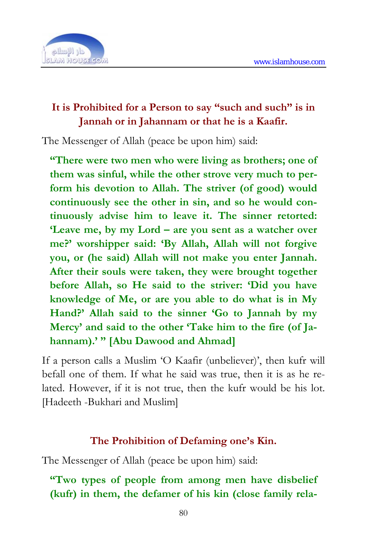

#### **It is Prohibited for a Person to say "such and such" is in Jannah or in Jahannam or that he is a Kaafir.**

The Messenger of Allah (peace be upon him) said:

**"There were two men who were living as brothers; one of them was sinful, while the other strove very much to perform his devotion to Allah. The striver (of good) would continuously see the other in sin, and so he would continuously advise him to leave it. The sinner retorted: 'Leave me, by my Lord – are you sent as a watcher over me?' worshipper said: 'By Allah, Allah will not forgive you, or (he said) Allah will not make you enter Jannah. After their souls were taken, they were brought together before Allah, so He said to the striver: 'Did you have knowledge of Me, or are you able to do what is in My Hand?' Allah said to the sinner 'Go to Jannah by my Mercy' and said to the other 'Take him to the fire (of Jahannam).' " [Abu Dawood and Ahmad]** 

If a person calls a Muslim 'O Kaafir (unbeliever)', then kufr will befall one of them. If what he said was true, then it is as he related. However, if it is not true, then the kufr would be his lot. [Hadeeth -Bukhari and Muslim]

#### **The Prohibition of Defaming one's Kin.**

The Messenger of Allah (peace be upon him) said:

**"Two types of people from among men have disbelief (kufr) in them, the defamer of his kin (close family rela-**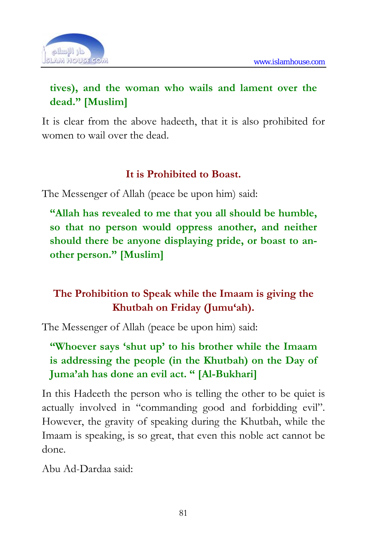

#### **tives), and the woman who wails and lament over the dead." [Muslim]**

It is clear from the above hadeeth, that it is also prohibited for women to wail over the dead.

#### **It is Prohibited to Boast.**

The Messenger of Allah (peace be upon him) said:

**"Allah has revealed to me that you all should be humble, so that no person would oppress another, and neither should there be anyone displaying pride, or boast to another person." [Muslim]** 

### **The Prohibition to Speak while the Imaam is giving the Khutbah on Friday (Jumu'ah).**

The Messenger of Allah (peace be upon him) said:

## **"Whoever says 'shut up' to his brother while the Imaam is addressing the people (in the Khutbah) on the Day of Juma'ah has done an evil act. " [Al-Bukhari]**

In this Hadeeth the person who is telling the other to be quiet is actually involved in "commanding good and forbidding evil". However, the gravity of speaking during the Khutbah, while the Imaam is speaking, is so great, that even this noble act cannot be done.

Abu Ad-Dardaa said: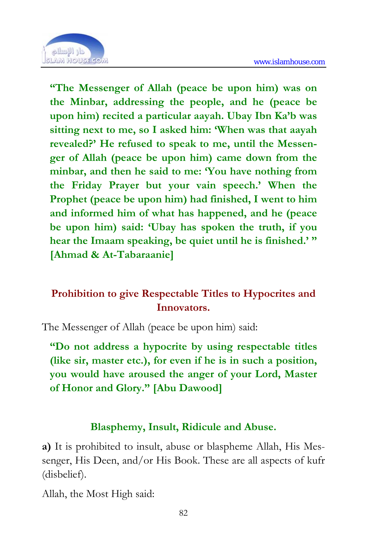

**"The Messenger of Allah (peace be upon him) was on the Minbar, addressing the people, and he (peace be upon him) recited a particular aayah. Ubay Ibn Ka'b was sitting next to me, so I asked him: 'When was that aayah revealed?' He refused to speak to me, until the Messenger of Allah (peace be upon him) came down from the minbar, and then he said to me: 'You have nothing from the Friday Prayer but your vain speech.' When the Prophet (peace be upon him) had finished, I went to him and informed him of what has happened, and he (peace be upon him) said: 'Ubay has spoken the truth, if you hear the Imaam speaking, be quiet until he is finished.' " [Ahmad & At-Tabaraanie]** 

#### **Prohibition to give Respectable Titles to Hypocrites and Innovators.**

The Messenger of Allah (peace be upon him) said:

**"Do not address a hypocrite by using respectable titles (like sir, master etc.), for even if he is in such a position, you would have aroused the anger of your Lord, Master of Honor and Glory." [Abu Dawood]** 

#### **Blasphemy, Insult, Ridicule and Abuse.**

**a)** It is prohibited to insult, abuse or blaspheme Allah, His Messenger, His Deen, and/or His Book. These are all aspects of kufr (disbelief).

Allah, the Most High said: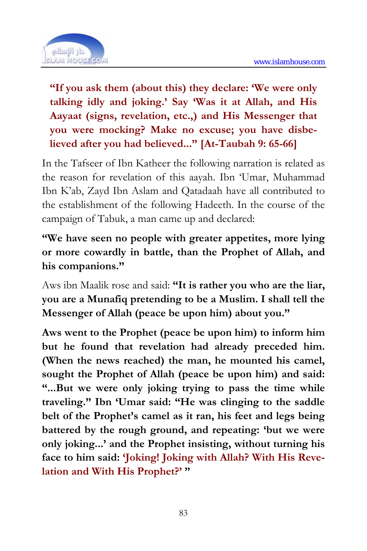

**"If you ask them (about this) they declare: 'We were only talking idly and joking.' Say 'Was it at Allah, and His Aayaat (signs, revelation, etc.,) and His Messenger that you were mocking? Make no excuse; you have disbelieved after you had believed..." [At-Taubah 9: 65-66]** 

In the Tafseer of Ibn Katheer the following narration is related as the reason for revelation of this aayah. Ibn 'Umar, Muhammad Ibn K'ab, Zayd Ibn Aslam and Qatadaah have all contributed to the establishment of the following Hadeeth. In the course of the campaign of Tabuk, a man came up and declared:

**"We have seen no people with greater appetites, more lying or more cowardly in battle, than the Prophet of Allah, and his companions."** 

Aws ibn Maalik rose and said: **"It is rather you who are the liar, you are a Munafiq pretending to be a Muslim. I shall tell the Messenger of Allah (peace be upon him) about you."** 

**Aws went to the Prophet (peace be upon him) to inform him but he found that revelation had already preceded him. (When the news reached) the man, he mounted his camel, sought the Prophet of Allah (peace be upon him) and said: "...But we were only joking trying to pass the time while traveling." Ibn 'Umar said: "He was clinging to the saddle belt of the Prophet's camel as it ran, his feet and legs being battered by the rough ground, and repeating: 'but we were only joking...' and the Prophet insisting, without turning his face to him said: 'Joking! Joking with Allah? With His Revelation and With His Prophet?' "**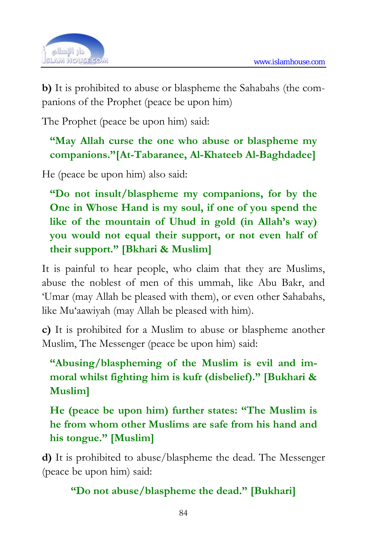

**b)** It is prohibited to abuse or blaspheme the Sahabahs (the companions of the Prophet (peace be upon him)

The Prophet (peace be upon him) said:

#### **"May Allah curse the one who abuse or blaspheme my companions."[At-Tabaranee, Al-Khateeb Al-Baghdadee]**

He (peace be upon him) also said:

**"Do not insult/blaspheme my companions, for by the One in Whose Hand is my soul, if one of you spend the like of the mountain of Uhud in gold (in Allah's way) you would not equal their support, or not even half of their support." [Bkhari & Muslim]** 

It is painful to hear people, who claim that they are Muslims, abuse the noblest of men of this ummah, like Abu Bakr, and 'Umar (may Allah be pleased with them), or even other Sahabahs, like Mu'aawiyah (may Allah be pleased with him).

**c)** It is prohibited for a Muslim to abuse or blaspheme another Muslim, The Messenger (peace be upon him) said:

**"Abusing/blaspheming of the Muslim is evil and immoral whilst fighting him is kufr (disbelief)." [Bukhari & Muslim]** 

**He (peace be upon him) further states: "The Muslim is he from whom other Muslims are safe from his hand and his tongue." [Muslim]** 

**d)** It is prohibited to abuse/blaspheme the dead. The Messenger (peace be upon him) said:

**"Do not abuse/blaspheme the dead." [Bukhari]**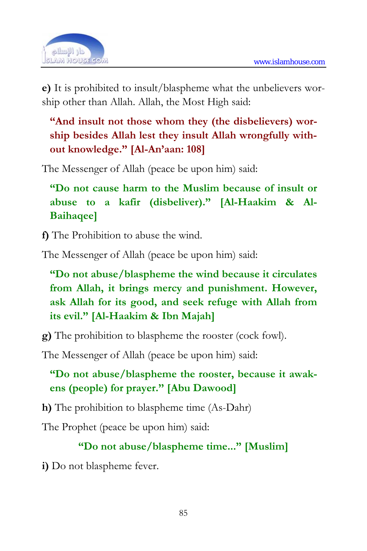

**e)** It is prohibited to insult/blaspheme what the unbelievers worship other than Allah. Allah, the Most High said:

**"And insult not those whom they (the disbelievers) worship besides Allah lest they insult Allah wrongfully without knowledge." [Al-An'aan: 108]** 

The Messenger of Allah (peace be upon him) said:

**"Do not cause harm to the Muslim because of insult or abuse to a kafir (disbeliver)." [Al-Haakim & Al-Baihaqee]** 

**f)** The Prohibition to abuse the wind.

The Messenger of Allah (peace be upon him) said:

**"Do not abuse/blaspheme the wind because it circulates from Allah, it brings mercy and punishment. However, ask Allah for its good, and seek refuge with Allah from its evil." [Al-Haakim & Ibn Majah]** 

**g)** The prohibition to blaspheme the rooster (cock fowl).

The Messenger of Allah (peace be upon him) said:

**"Do not abuse/blaspheme the rooster, because it awakens (people) for prayer.'' [Abu Dawood]** 

**h)** The prohibition to blaspheme time (As-Dahr)

The Prophet (peace be upon him) said:

#### **"Do not abuse/blaspheme time..." [Muslim]**

**i)** Do not blaspheme fever.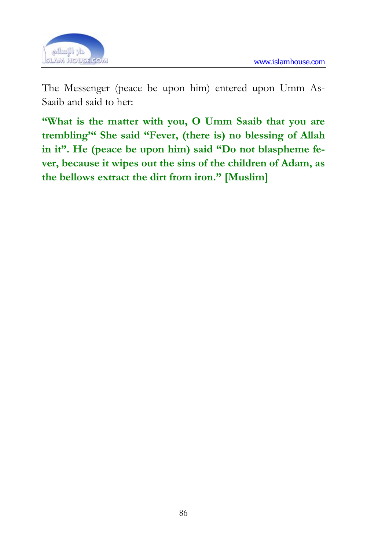



The Messenger (peace be upon him) entered upon Umm As-Saaib and said to her:

**"What is the matter with you, O Umm Saaib that you are trembling'" She said "Fever, (there is) no blessing of Allah in it". He (peace be upon him) said "Do not blaspheme fever, because it wipes out the sins of the children of Adam, as the bellows extract the dirt from iron." [Muslim]**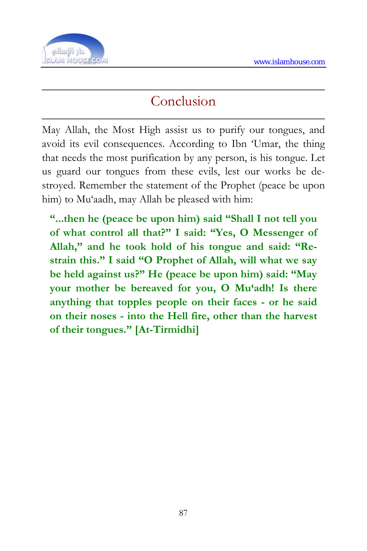

## Conclusion

May Allah, the Most High assist us to purify our tongues, and avoid its evil consequences. According to Ibn 'Umar, the thing that needs the most purification by any person, is his tongue. Let us guard our tongues from these evils, lest our works be destroyed. Remember the statement of the Prophet (peace be upon him) to Mu'aadh, may Allah be pleased with him:

**"...then he (peace be upon him) said "Shall I not tell you of what control all that?" I said: "Yes, O Messenger of Allah," and he took hold of his tongue and said: "Restrain this." I said "O Prophet of Allah, will what we say be held against us?" He (peace be upon him) said: "May your mother be bereaved for you, O Mu'adh! Is there anything that topples people on their faces - or he said on their noses - into the Hell fire, other than the harvest of their tongues." [At-Tirmidhi]**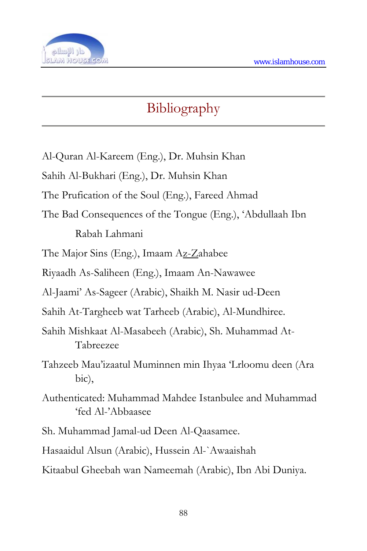

# Bibliography

| Al-Quran Al-Kareem (Eng.), Dr. Muhsin Khan                                  |
|-----------------------------------------------------------------------------|
| Sahih Al-Bukhari (Eng.), Dr. Muhsin Khan                                    |
| The Prufication of the Soul (Eng.), Fareed Ahmad                            |
| The Bad Consequences of the Tongue (Eng.), 'Abdullaah Ibn                   |
| Rabah Lahmani                                                               |
| The Major Sins (Eng.), Imaam Az-Zahabee                                     |
| Riyaadh As-Saliheen (Eng.), Imaam An-Nawawee                                |
| Al-Jaami' As-Sageer (Arabic), Shaikh M. Nasir ud-Deen                       |
| Sahih At-Targheeb wat Tarheeb (Arabic), Al-Mundhiree.                       |
| Sahih Mishkaat Al-Masabeeh (Arabic), Sh. Muhammad At-<br>Tabreezee          |
| Tahzeeb Mau'izaatul Muminnen min Ihyaa 'Lrloomu deen (Ara<br>bic),          |
| Authenticated: Muhammad Mahdee Istanbulee and Muhammad<br>'fed Al-'Abbaasee |
| Sh. Muhammad Jamal-ud Deen Al-Qaasamee.                                     |
| Hasaaidul Alsun (Arabic), Hussein Al-`Awaaishah                             |
| Kitaabul Gheebah wan Nameemah (Arabic), Ibn Abi Duniya.                     |